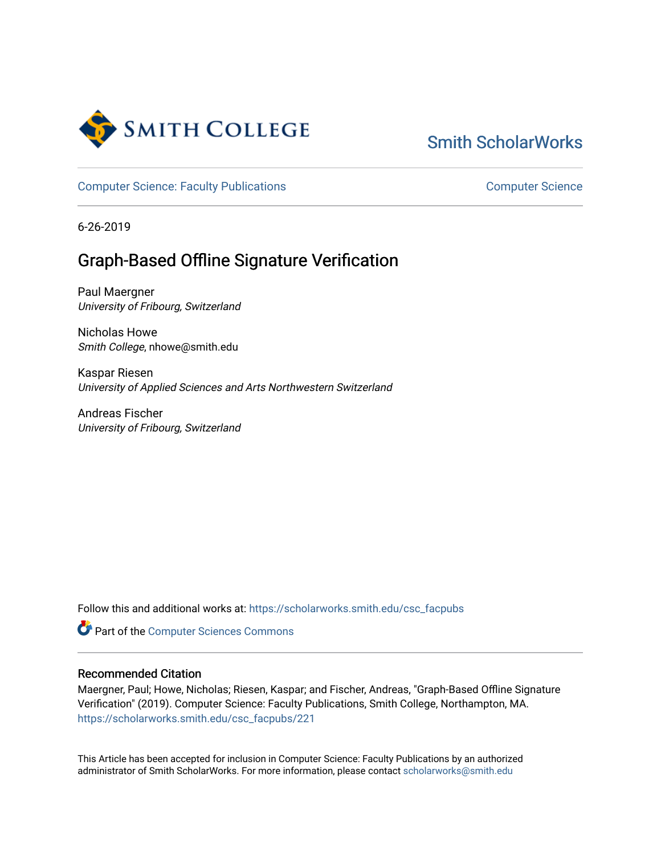

# [Smith ScholarWorks](https://scholarworks.smith.edu/)

[Computer Science: Faculty Publications](https://scholarworks.smith.edu/csc_facpubs) [Computer Science](https://scholarworks.smith.edu/csc) Computer Science

6-26-2019

# Graph-Based Offline Signature Verification

Paul Maergner University of Fribourg, Switzerland

Nicholas Howe Smith College, nhowe@smith.edu

Kaspar Riesen University of Applied Sciences and Arts Northwestern Switzerland

Andreas Fischer University of Fribourg, Switzerland

Follow this and additional works at: [https://scholarworks.smith.edu/csc\\_facpubs](https://scholarworks.smith.edu/csc_facpubs?utm_source=scholarworks.smith.edu%2Fcsc_facpubs%2F221&utm_medium=PDF&utm_campaign=PDFCoverPages)

Part of the [Computer Sciences Commons](http://network.bepress.com/hgg/discipline/142?utm_source=scholarworks.smith.edu%2Fcsc_facpubs%2F221&utm_medium=PDF&utm_campaign=PDFCoverPages)

# Recommended Citation

Maergner, Paul; Howe, Nicholas; Riesen, Kaspar; and Fischer, Andreas, "Graph-Based Offline Signature Verification" (2019). Computer Science: Faculty Publications, Smith College, Northampton, MA. [https://scholarworks.smith.edu/csc\\_facpubs/221](https://scholarworks.smith.edu/csc_facpubs/221?utm_source=scholarworks.smith.edu%2Fcsc_facpubs%2F221&utm_medium=PDF&utm_campaign=PDFCoverPages)

This Article has been accepted for inclusion in Computer Science: Faculty Publications by an authorized administrator of Smith ScholarWorks. For more information, please contact [scholarworks@smith.edu](mailto:scholarworks@smith.edu)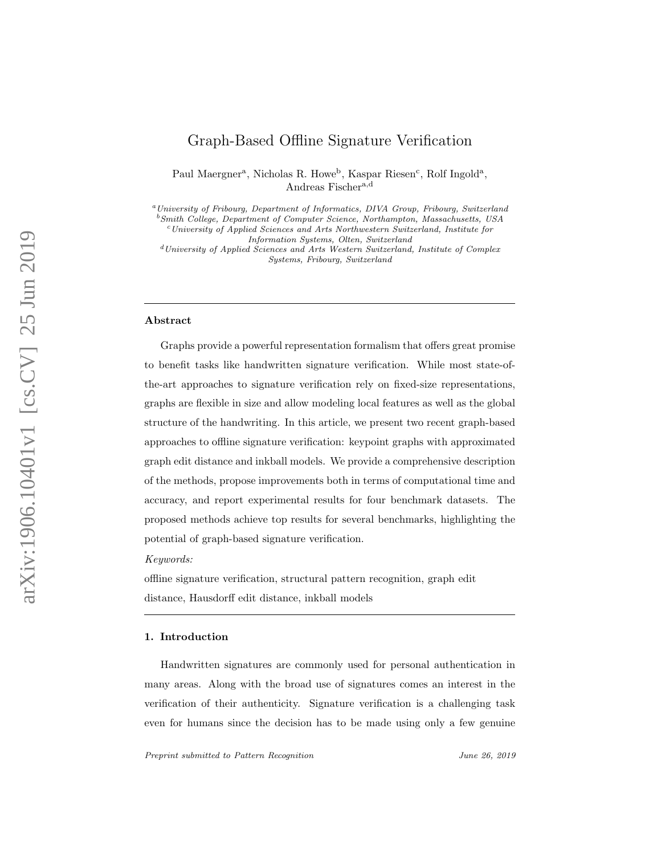# Graph-Based Offline Signature Verification

Paul Maergner<sup>a</sup>, Nicholas R. Howe<sup>b</sup>, Kaspar Riesen<sup>c</sup>, Rolf Ingold<sup>a</sup>, Andreas Fischer<sup>a,d</sup>

<sup>a</sup>University of Fribourg, Department of Informatics, DIVA Group, Fribourg, Switzerland

<sup>b</sup>Smith College, Department of Computer Science, Northampton, Massachusetts, USA  $c$ University of Applied Sciences and Arts Northwestern Switzerland, Institute for

 $d$ University of Applied Sciences and Arts Western Switzerland, Institute of Complex Systems, Fribourg, Switzerland

# Abstract

Graphs provide a powerful representation formalism that offers great promise to benefit tasks like handwritten signature verification. While most state-ofthe-art approaches to signature verification rely on fixed-size representations, graphs are flexible in size and allow modeling local features as well as the global structure of the handwriting. In this article, we present two recent graph-based approaches to offline signature verification: keypoint graphs with approximated graph edit distance and inkball models. We provide a comprehensive description of the methods, propose improvements both in terms of computational time and accuracy, and report experimental results for four benchmark datasets. The proposed methods achieve top results for several benchmarks, highlighting the potential of graph-based signature verification.

Keywords:

offline signature verification, structural pattern recognition, graph edit distance, Hausdorff edit distance, inkball models

#### 1. Introduction

Handwritten signatures are commonly used for personal authentication in many areas. Along with the broad use of signatures comes an interest in the verification of their authenticity. Signature verification is a challenging task even for humans since the decision has to be made using only a few genuine

Preprint submitted to Pattern Recognition June 26, 2019

Information Systems, Olten, Switzerland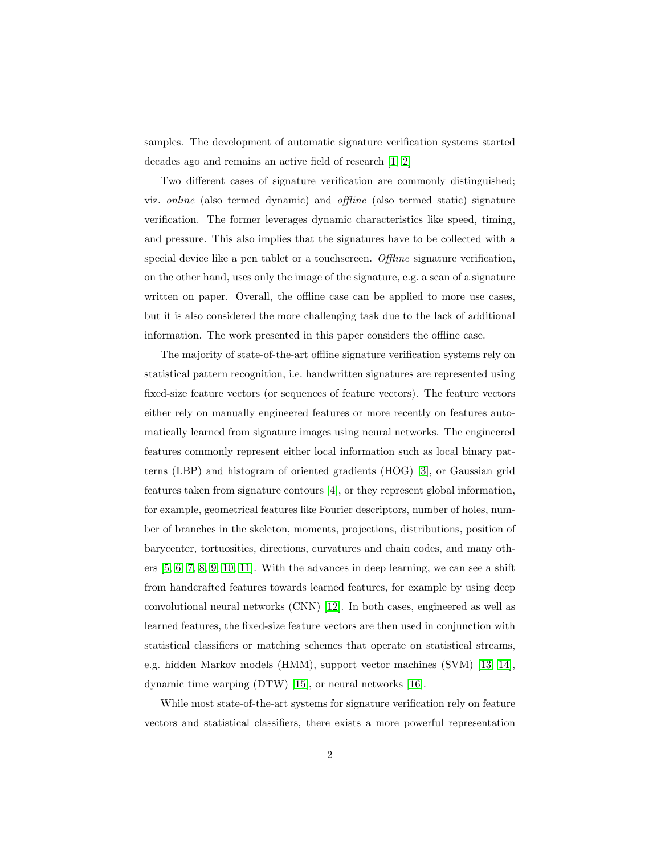samples. The development of automatic signature verification systems started decades ago and remains an active field of research [\[1,](#page-29-0) [2\]](#page-29-1)

Two different cases of signature verification are commonly distinguished; viz. online (also termed dynamic) and offline (also termed static) signature verification. The former leverages dynamic characteristics like speed, timing, and pressure. This also implies that the signatures have to be collected with a special device like a pen tablet or a touchscreen. Offline signature verification, on the other hand, uses only the image of the signature, e.g. a scan of a signature written on paper. Overall, the offline case can be applied to more use cases, but it is also considered the more challenging task due to the lack of additional information. The work presented in this paper considers the offline case.

The majority of state-of-the-art offline signature verification systems rely on statistical pattern recognition, i.e. handwritten signatures are represented using fixed-size feature vectors (or sequences of feature vectors). The feature vectors either rely on manually engineered features or more recently on features automatically learned from signature images using neural networks. The engineered features commonly represent either local information such as local binary patterns (LBP) and histogram of oriented gradients (HOG) [\[3\]](#page-30-0), or Gaussian grid features taken from signature contours [\[4\]](#page-30-1), or they represent global information, for example, geometrical features like Fourier descriptors, number of holes, number of branches in the skeleton, moments, projections, distributions, position of barycenter, tortuosities, directions, curvatures and chain codes, and many others [\[5,](#page-30-2) [6,](#page-30-3) [7,](#page-30-4) [8,](#page-30-5) [9,](#page-30-6) [10,](#page-30-7) [11\]](#page-31-0). With the advances in deep learning, we can see a shift from handcrafted features towards learned features, for example by using deep convolutional neural networks (CNN) [\[12\]](#page-31-1). In both cases, engineered as well as learned features, the fixed-size feature vectors are then used in conjunction with statistical classifiers or matching schemes that operate on statistical streams, e.g. hidden Markov models (HMM), support vector machines (SVM) [\[13,](#page-31-2) [14\]](#page-31-3), dynamic time warping (DTW) [\[15\]](#page-31-4), or neural networks [\[16\]](#page-31-5).

While most state-of-the-art systems for signature verification rely on feature vectors and statistical classifiers, there exists a more powerful representation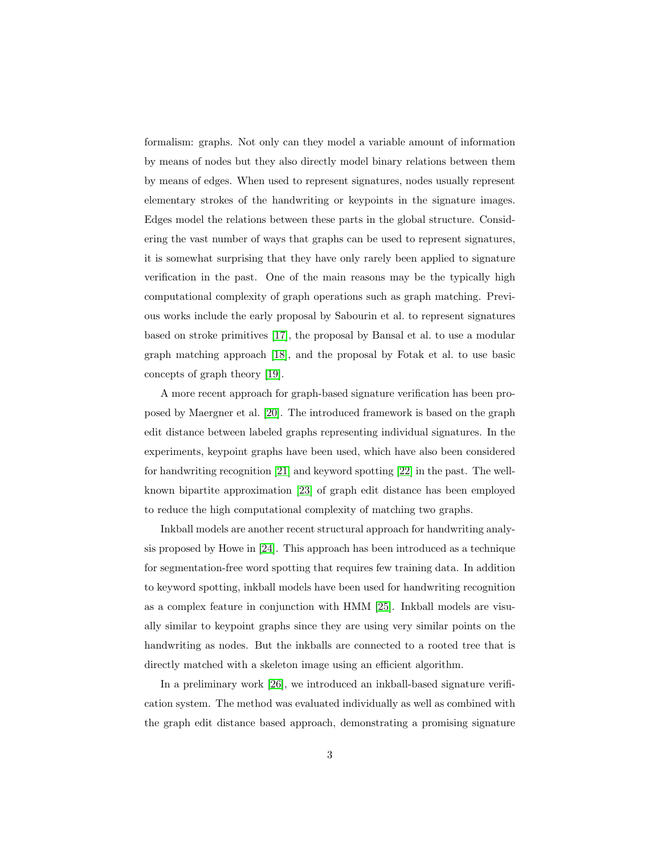formalism: graphs. Not only can they model a variable amount of information by means of nodes but they also directly model binary relations between them by means of edges. When used to represent signatures, nodes usually represent elementary strokes of the handwriting or keypoints in the signature images. Edges model the relations between these parts in the global structure. Considering the vast number of ways that graphs can be used to represent signatures, it is somewhat surprising that they have only rarely been applied to signature verification in the past. One of the main reasons may be the typically high computational complexity of graph operations such as graph matching. Previous works include the early proposal by Sabourin et al. to represent signatures based on stroke primitives [\[17\]](#page-31-6), the proposal by Bansal et al. to use a modular graph matching approach [\[18\]](#page-31-7), and the proposal by Fotak et al. to use basic concepts of graph theory [\[19\]](#page-31-8).

A more recent approach for graph-based signature verification has been proposed by Maergner et al. [\[20\]](#page-31-9). The introduced framework is based on the graph edit distance between labeled graphs representing individual signatures. In the experiments, keypoint graphs have been used, which have also been considered for handwriting recognition [\[21\]](#page-32-0) and keyword spotting [\[22\]](#page-32-1) in the past. The wellknown bipartite approximation [\[23\]](#page-32-2) of graph edit distance has been employed to reduce the high computational complexity of matching two graphs.

Inkball models are another recent structural approach for handwriting analysis proposed by Howe in [\[24\]](#page-32-3). This approach has been introduced as a technique for segmentation-free word spotting that requires few training data. In addition to keyword spotting, inkball models have been used for handwriting recognition as a complex feature in conjunction with HMM [\[25\]](#page-32-4). Inkball models are visually similar to keypoint graphs since they are using very similar points on the handwriting as nodes. But the inkballs are connected to a rooted tree that is directly matched with a skeleton image using an efficient algorithm.

In a preliminary work [\[26\]](#page-32-5), we introduced an inkball-based signature verification system. The method was evaluated individually as well as combined with the graph edit distance based approach, demonstrating a promising signature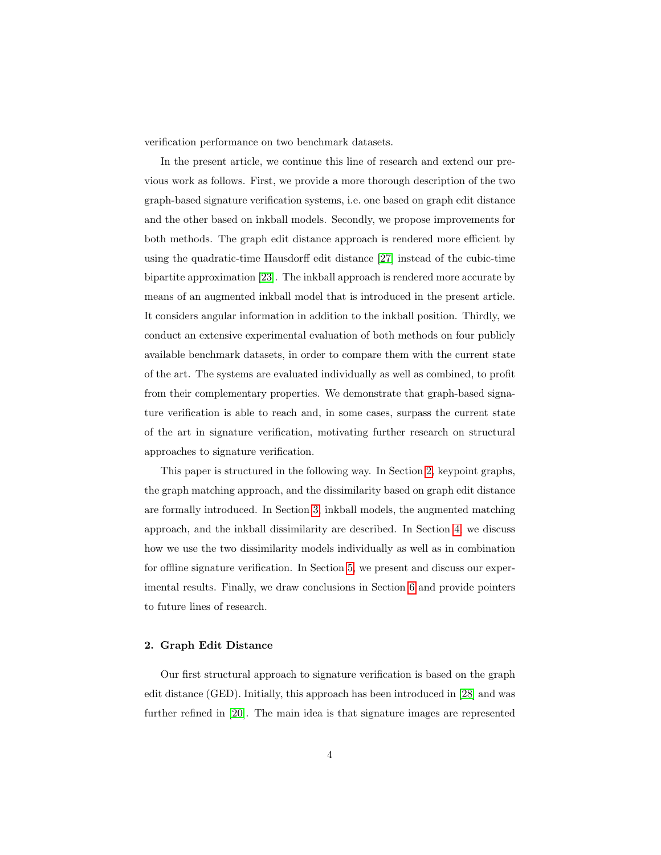verification performance on two benchmark datasets.

In the present article, we continue this line of research and extend our previous work as follows. First, we provide a more thorough description of the two graph-based signature verification systems, i.e. one based on graph edit distance and the other based on inkball models. Secondly, we propose improvements for both methods. The graph edit distance approach is rendered more efficient by using the quadratic-time Hausdorff edit distance [\[27\]](#page-32-6) instead of the cubic-time bipartite approximation [\[23\]](#page-32-2). The inkball approach is rendered more accurate by means of an augmented inkball model that is introduced in the present article. It considers angular information in addition to the inkball position. Thirdly, we conduct an extensive experimental evaluation of both methods on four publicly available benchmark datasets, in order to compare them with the current state of the art. The systems are evaluated individually as well as combined, to profit from their complementary properties. We demonstrate that graph-based signature verification is able to reach and, in some cases, surpass the current state of the art in signature verification, motivating further research on structural approaches to signature verification.

This paper is structured in the following way. In Section [2,](#page-4-0) keypoint graphs, the graph matching approach, and the dissimilarity based on graph edit distance are formally introduced. In Section [3,](#page-9-0) inkball models, the augmented matching approach, and the inkball dissimilarity are described. In Section [4,](#page-14-0) we discuss how we use the two dissimilarity models individually as well as in combination for offline signature verification. In Section [5,](#page-16-0) we present and discuss our experimental results. Finally, we draw conclusions in Section [6](#page-28-0) and provide pointers to future lines of research.

# <span id="page-4-0"></span>2. Graph Edit Distance

Our first structural approach to signature verification is based on the graph edit distance (GED). Initially, this approach has been introduced in [\[28\]](#page-32-7) and was further refined in [\[20\]](#page-31-9). The main idea is that signature images are represented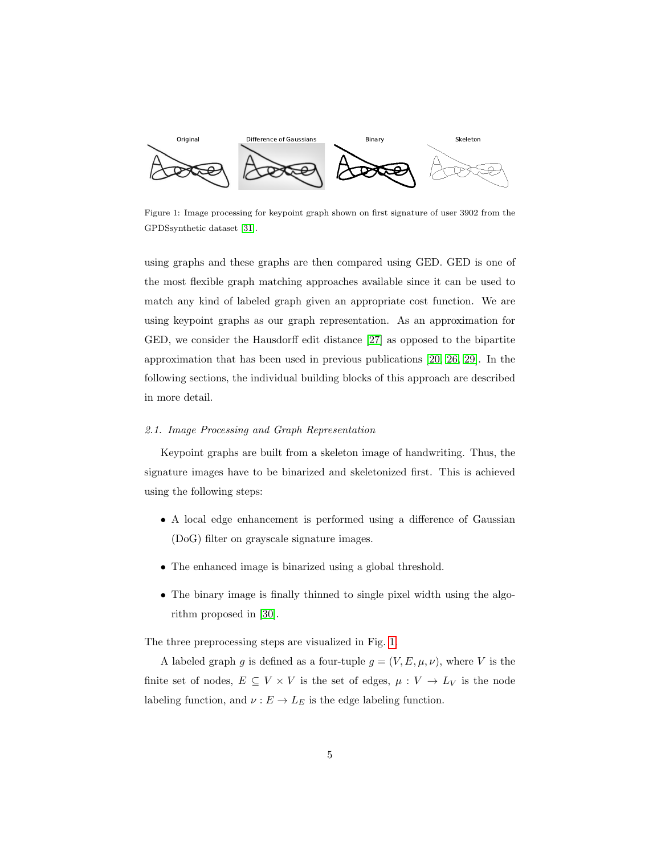

<span id="page-5-0"></span>Figure 1: Image processing for keypoint graph shown on first signature of user 3902 from the GPDSsynthetic dataset [\[31\]](#page-33-0).

using graphs and these graphs are then compared using GED. GED is one of the most flexible graph matching approaches available since it can be used to match any kind of labeled graph given an appropriate cost function. We are using keypoint graphs as our graph representation. As an approximation for GED, we consider the Hausdorff edit distance [\[27\]](#page-32-6) as opposed to the bipartite approximation that has been used in previous publications [\[20,](#page-31-9) [26,](#page-32-5) [29\]](#page-33-1). In the following sections, the individual building blocks of this approach are described in more detail.

### 2.1. Image Processing and Graph Representation

Keypoint graphs are built from a skeleton image of handwriting. Thus, the signature images have to be binarized and skeletonized first. This is achieved using the following steps:

- A local edge enhancement is performed using a difference of Gaussian (DoG) filter on grayscale signature images.
- The enhanced image is binarized using a global threshold.
- The binary image is finally thinned to single pixel width using the algorithm proposed in [\[30\]](#page-33-2).

The three preprocessing steps are visualized in Fig. [1.](#page-5-0)

A labeled graph g is defined as a four-tuple  $g = (V, E, \mu, \nu)$ , where V is the finite set of nodes,  $E \subseteq V \times V$  is the set of edges,  $\mu: V \to L_V$  is the node labeling function, and  $\nu : E \to L_E$  is the edge labeling function.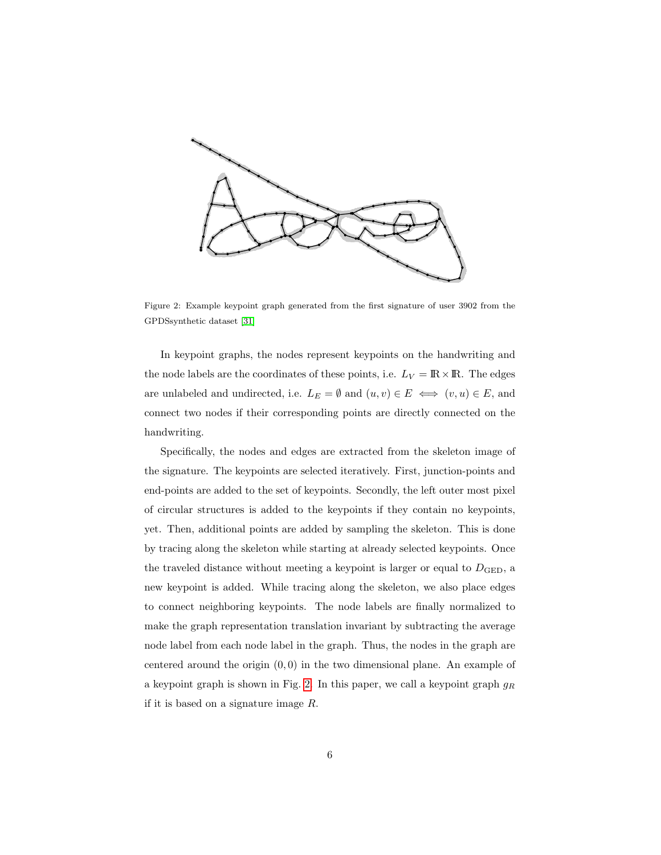

<span id="page-6-0"></span>Figure 2: Example keypoint graph generated from the first signature of user 3902 from the GPDSsynthetic dataset [\[31\]](#page-33-0)

In keypoint graphs, the nodes represent keypoints on the handwriting and the node labels are the coordinates of these points, i.e.  $L_V = \mathbb{R} \times \mathbb{R}$ . The edges are unlabeled and undirected, i.e.  $L_E = \emptyset$  and  $(u, v) \in E \iff (v, u) \in E$ , and connect two nodes if their corresponding points are directly connected on the handwriting.

Specifically, the nodes and edges are extracted from the skeleton image of the signature. The keypoints are selected iteratively. First, junction-points and end-points are added to the set of keypoints. Secondly, the left outer most pixel of circular structures is added to the keypoints if they contain no keypoints, yet. Then, additional points are added by sampling the skeleton. This is done by tracing along the skeleton while starting at already selected keypoints. Once the traveled distance without meeting a keypoint is larger or equal to  $D_{\text{GED}}$ , a new keypoint is added. While tracing along the skeleton, we also place edges to connect neighboring keypoints. The node labels are finally normalized to make the graph representation translation invariant by subtracting the average node label from each node label in the graph. Thus, the nodes in the graph are centered around the origin  $(0, 0)$  in the two dimensional plane. An example of a keypoint graph is shown in Fig. [2.](#page-6-0) In this paper, we call a keypoint graph  $g_R$ if it is based on a signature image R.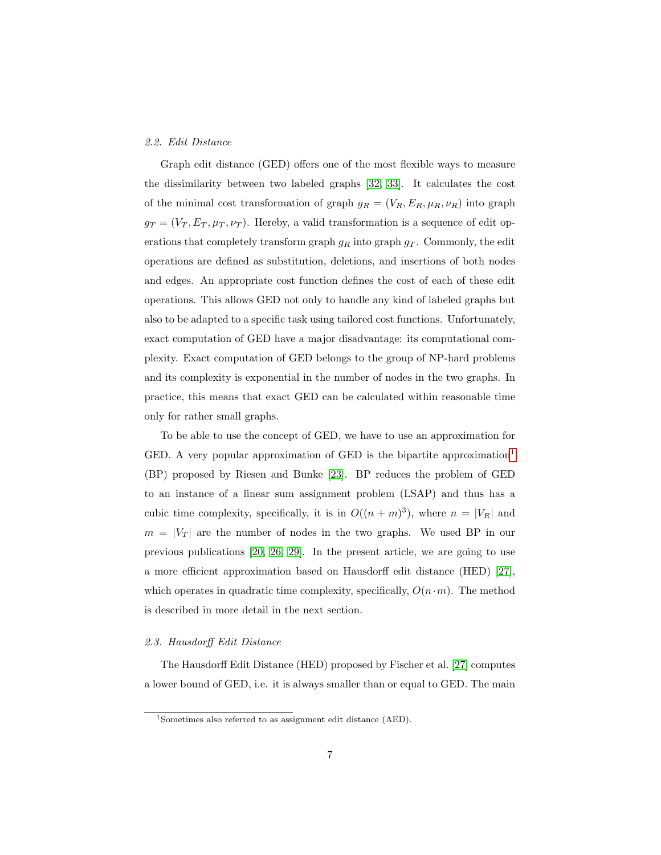#### 2.2. Edit Distance

Graph edit distance (GED) offers one of the most flexible ways to measure the dissimilarity between two labeled graphs [\[32,](#page-33-3) [33\]](#page-33-4). It calculates the cost of the minimal cost transformation of graph  $g_R = (V_R, E_R, \mu_R, \nu_R)$  into graph  $g_T = (V_T, E_T, \mu_T, \nu_T)$ . Hereby, a valid transformation is a sequence of edit operations that completely transform graph  $g_R$  into graph  $g_T$ . Commonly, the edit operations are defined as substitution, deletions, and insertions of both nodes and edges. An appropriate cost function defines the cost of each of these edit operations. This allows GED not only to handle any kind of labeled graphs but also to be adapted to a specific task using tailored cost functions. Unfortunately, exact computation of GED have a major disadvantage: its computational complexity. Exact computation of GED belongs to the group of NP-hard problems and its complexity is exponential in the number of nodes in the two graphs. In practice, this means that exact GED can be calculated within reasonable time only for rather small graphs.

To be able to use the concept of GED, we have to use an approximation for GED. A very popular approximation of GED is the bipartite approximation<sup>[1](#page-7-0)</sup> (BP) proposed by Riesen and Bunke [\[23\]](#page-32-2). BP reduces the problem of GED to an instance of a linear sum assignment problem (LSAP) and thus has a cubic time complexity, specifically, it is in  $O((n+m)^3)$ , where  $n = |V_R|$  and  $m = |V_T|$  are the number of nodes in the two graphs. We used BP in our previous publications [\[20,](#page-31-9) [26,](#page-32-5) [29\]](#page-33-1). In the present article, we are going to use a more efficient approximation based on Hausdorff edit distance (HED) [\[27\]](#page-32-6), which operates in quadratic time complexity, specifically,  $O(n \cdot m)$ . The method is described in more detail in the next section.

#### 2.3. Hausdorff Edit Distance

The Hausdorff Edit Distance (HED) proposed by Fischer et al. [\[27\]](#page-32-6) computes a lower bound of GED, i.e. it is always smaller than or equal to GED. The main

<span id="page-7-0"></span><sup>1</sup>Sometimes also referred to as assignment edit distance (AED).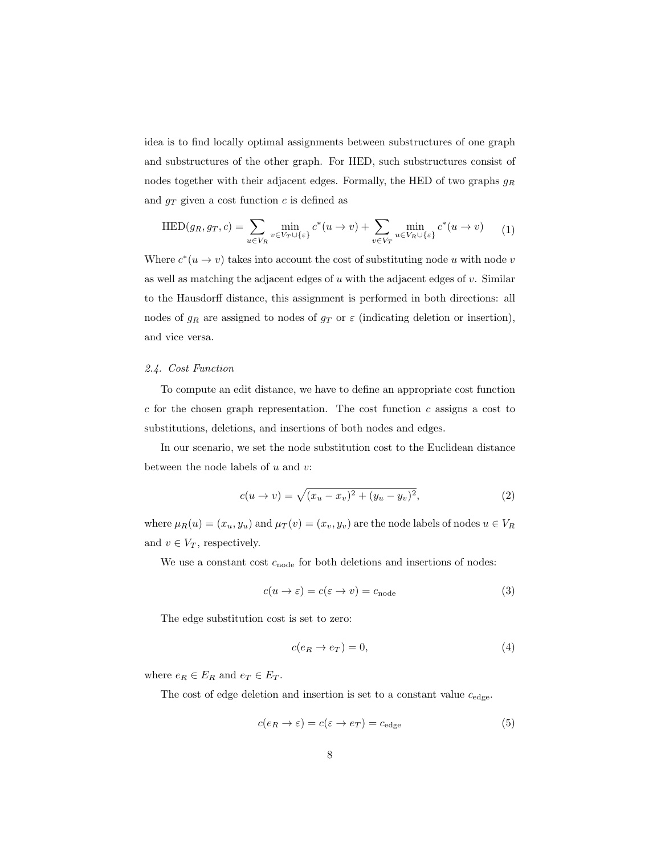idea is to find locally optimal assignments between substructures of one graph and substructures of the other graph. For HED, such substructures consist of nodes together with their adjacent edges. Formally, the HED of two graphs  $g_R$ and  $g_T$  given a cost function c is defined as

$$
\text{HED}(g_R, g_T, c) = \sum_{u \in V_R} \min_{v \in V_T \cup \{\varepsilon\}} c^*(u \to v) + \sum_{v \in V_T} \min_{u \in V_R \cup \{\varepsilon\}} c^*(u \to v) \tag{1}
$$

Where  $c^*(u \to v)$  takes into account the cost of substituting node u with node v as well as matching the adjacent edges of  $u$  with the adjacent edges of  $v$ . Similar to the Hausdorff distance, this assignment is performed in both directions: all nodes of  $g_R$  are assigned to nodes of  $g_T$  or  $\varepsilon$  (indicating deletion or insertion), and vice versa.

# <span id="page-8-0"></span>2.4. Cost Function

To compute an edit distance, we have to define an appropriate cost function  $c$  for the chosen graph representation. The cost function  $c$  assigns a cost to substitutions, deletions, and insertions of both nodes and edges.

In our scenario, we set the node substitution cost to the Euclidean distance between the node labels of  $u$  and  $v$ :

$$
c(u \to v) = \sqrt{(x_u - x_v)^2 + (y_u - y_v)^2},
$$
\n(2)

where  $\mu_R(u) = (x_u, y_u)$  and  $\mu_T(v) = (x_v, y_v)$  are the node labels of nodes  $u \in V_R$ and  $v \in V_T$ , respectively.

We use a constant cost  $c_{\text{node}}$  for both deletions and insertions of nodes:

$$
c(u \to \varepsilon) = c(\varepsilon \to v) = c_{\text{node}} \tag{3}
$$

The edge substitution cost is set to zero:

$$
c(e_R \to e_T) = 0,\t\t(4)
$$

where  $e_R \in E_R$  and  $e_T \in E_T$ .

The cost of edge deletion and insertion is set to a constant value  $c_{\text{edge}}$ .

$$
c(e_R \to \varepsilon) = c(\varepsilon \to e_T) = c_{\text{edge}} \tag{5}
$$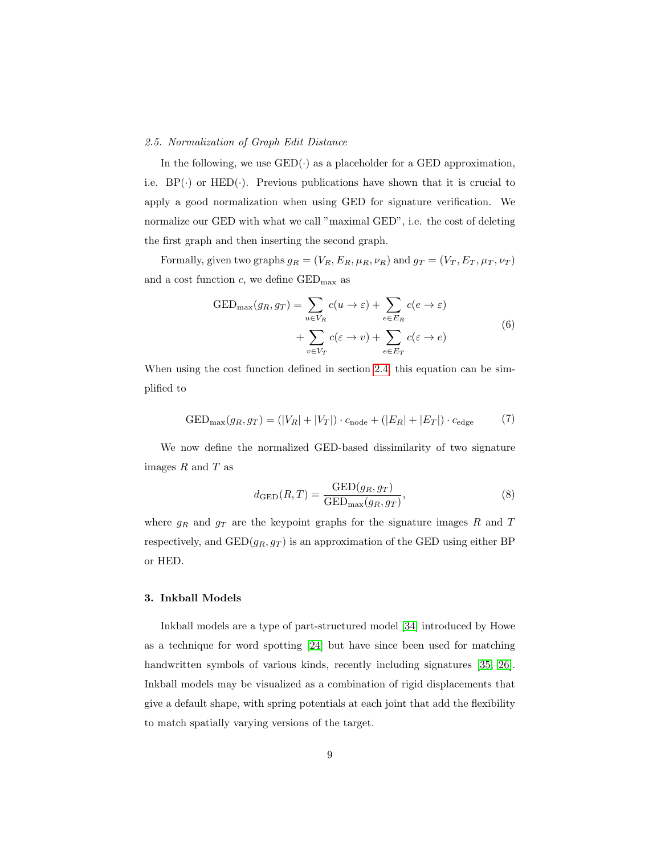#### 2.5. Normalization of Graph Edit Distance

In the following, we use  $\text{GED}(\cdot)$  as a placeholder for a GED approximation, i.e.  $BP(\cdot)$  or  $HED(\cdot)$ . Previous publications have shown that it is crucial to apply a good normalization when using GED for signature verification. We normalize our GED with what we call "maximal GED", i.e. the cost of deleting the first graph and then inserting the second graph.

Formally, given two graphs  $g_R = (V_R, E_R, \mu_R, \nu_R)$  and  $g_T = (V_T, E_T, \mu_T, \nu_T)$ and a cost function  $c$ , we define  $\text{GED}_{\text{max}}$  as

$$
GED_{\max}(g_R, g_T) = \sum_{u \in V_R} c(u \to \varepsilon) + \sum_{e \in E_R} c(e \to \varepsilon)
$$

$$
+ \sum_{v \in V_T} c(\varepsilon \to v) + \sum_{e \in E_T} c(\varepsilon \to e)
$$
(6)

When using the cost function defined in section [2.4,](#page-8-0) this equation can be simplified to

$$
GED_{\max}(g_R,g_T)=(|V_R|+|V_T|)\cdot c_{\text{node}}+(|E_R|+|E_T|)\cdot c_{\text{edge}}\tag{7}
$$

We now define the normalized GED-based dissimilarity of two signature images  $R$  and  $T$  as

$$
d_{\rm GED}(R,T) = \frac{\text{GED}(g_R, g_T)}{\text{GED}_{\text{max}}(g_R, g_T)},\tag{8}
$$

where  $g_R$  and  $g_T$  are the keypoint graphs for the signature images R and T respectively, and  $\text{GED}(g_R, g_T)$  is an approximation of the GED using either BP or HED.

# <span id="page-9-0"></span>3. Inkball Models

Inkball models are a type of part-structured model [\[34\]](#page-33-5) introduced by Howe as a technique for word spotting [\[24\]](#page-32-3) but have since been used for matching handwritten symbols of various kinds, recently including signatures [\[35,](#page-33-6) [26\]](#page-32-5). Inkball models may be visualized as a combination of rigid displacements that give a default shape, with spring potentials at each joint that add the flexibility to match spatially varying versions of the target.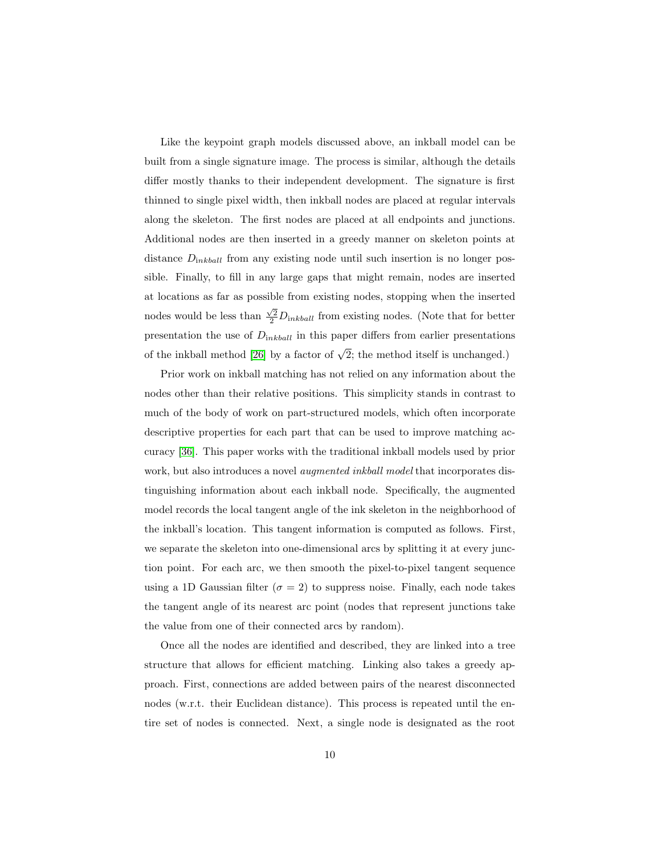Like the keypoint graph models discussed above, an inkball model can be built from a single signature image. The process is similar, although the details differ mostly thanks to their independent development. The signature is first thinned to single pixel width, then inkball nodes are placed at regular intervals along the skeleton. The first nodes are placed at all endpoints and junctions. Additional nodes are then inserted in a greedy manner on skeleton points at distance  $D_{inkball}$  from any existing node until such insertion is no longer possible. Finally, to fill in any large gaps that might remain, nodes are inserted at locations as far as possible from existing nodes, stopping when the inserted nodes would be less than  $\frac{\sqrt{2}}{2}D_{inkball}$  from existing nodes. (Note that for better presentation the use of  $D_{inkball}$  in this paper differs from earlier presentations of the inkball method [\[26\]](#page-32-5) by a factor of  $\sqrt{2}$ ; the method itself is unchanged.)

Prior work on inkball matching has not relied on any information about the nodes other than their relative positions. This simplicity stands in contrast to much of the body of work on part-structured models, which often incorporate descriptive properties for each part that can be used to improve matching accuracy [\[36\]](#page-33-7). This paper works with the traditional inkball models used by prior work, but also introduces a novel *augmented inkball model* that incorporates distinguishing information about each inkball node. Specifically, the augmented model records the local tangent angle of the ink skeleton in the neighborhood of the inkball's location. This tangent information is computed as follows. First, we separate the skeleton into one-dimensional arcs by splitting it at every junction point. For each arc, we then smooth the pixel-to-pixel tangent sequence using a 1D Gaussian filter ( $\sigma = 2$ ) to suppress noise. Finally, each node takes the tangent angle of its nearest arc point (nodes that represent junctions take the value from one of their connected arcs by random).

Once all the nodes are identified and described, they are linked into a tree structure that allows for efficient matching. Linking also takes a greedy approach. First, connections are added between pairs of the nearest disconnected nodes (w.r.t. their Euclidean distance). This process is repeated until the entire set of nodes is connected. Next, a single node is designated as the root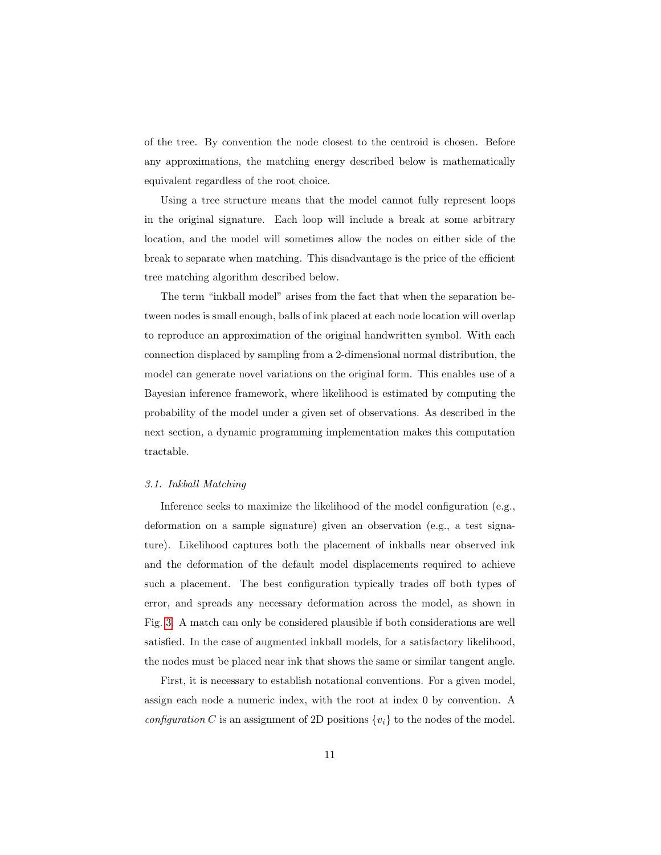of the tree. By convention the node closest to the centroid is chosen. Before any approximations, the matching energy described below is mathematically equivalent regardless of the root choice.

Using a tree structure means that the model cannot fully represent loops in the original signature. Each loop will include a break at some arbitrary location, and the model will sometimes allow the nodes on either side of the break to separate when matching. This disadvantage is the price of the efficient tree matching algorithm described below.

The term "inkball model" arises from the fact that when the separation between nodes is small enough, balls of ink placed at each node location will overlap to reproduce an approximation of the original handwritten symbol. With each connection displaced by sampling from a 2-dimensional normal distribution, the model can generate novel variations on the original form. This enables use of a Bayesian inference framework, where likelihood is estimated by computing the probability of the model under a given set of observations. As described in the next section, a dynamic programming implementation makes this computation tractable.

#### 3.1. Inkball Matching

Inference seeks to maximize the likelihood of the model configuration (e.g., deformation on a sample signature) given an observation (e.g., a test signature). Likelihood captures both the placement of inkballs near observed ink and the deformation of the default model displacements required to achieve such a placement. The best configuration typically trades off both types of error, and spreads any necessary deformation across the model, as shown in Fig. [3.](#page-12-0) A match can only be considered plausible if both considerations are well satisfied. In the case of augmented inkball models, for a satisfactory likelihood, the nodes must be placed near ink that shows the same or similar tangent angle.

First, it is necessary to establish notational conventions. For a given model, assign each node a numeric index, with the root at index 0 by convention. A configuration C is an assignment of 2D positions  $\{v_i\}$  to the nodes of the model.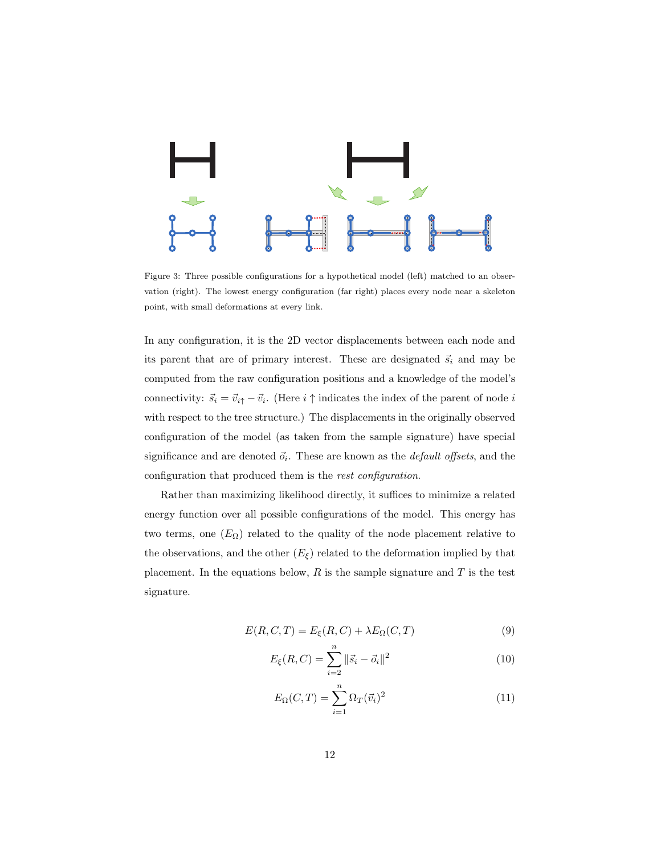

<span id="page-12-0"></span>Figure 3: Three possible configurations for a hypothetical model (left) matched to an observation (right). The lowest energy configuration (far right) places every node near a skeleton point, with small deformations at every link.

In any configuration, it is the 2D vector displacements between each node and its parent that are of primary interest. These are designated  $\vec{s}_i$  and may be computed from the raw configuration positions and a knowledge of the model's connectivity:  $\vec{s}_i = \vec{v}_{i\uparrow} - \vec{v}_i$ . (Here  $i \uparrow$  indicates the index of the parent of node i with respect to the tree structure.) The displacements in the originally observed configuration of the model (as taken from the sample signature) have special significance and are denoted  $\vec{o}_i$ . These are known as the *default offsets*, and the configuration that produced them is the rest configuration.

Rather than maximizing likelihood directly, it suffices to minimize a related energy function over all possible configurations of the model. This energy has two terms, one  $(E_{\Omega})$  related to the quality of the node placement relative to the observations, and the other  $(E_{\xi})$  related to the deformation implied by that placement. In the equations below,  $R$  is the sample signature and  $T$  is the test signature.

<span id="page-12-2"></span>
$$
E(R, C, T) = E_{\xi}(R, C) + \lambda E_{\Omega}(C, T)
$$
\n(9)

<span id="page-12-3"></span>
$$
E_{\xi}(R, C) = \sum_{i=2}^{n} \|\vec{s}_i - \vec{o}_i\|^2
$$
\n(10)

<span id="page-12-1"></span>
$$
E_{\Omega}(C,T) = \sum_{i=1}^{n} \Omega_T(\vec{v}_i)^2
$$
\n(11)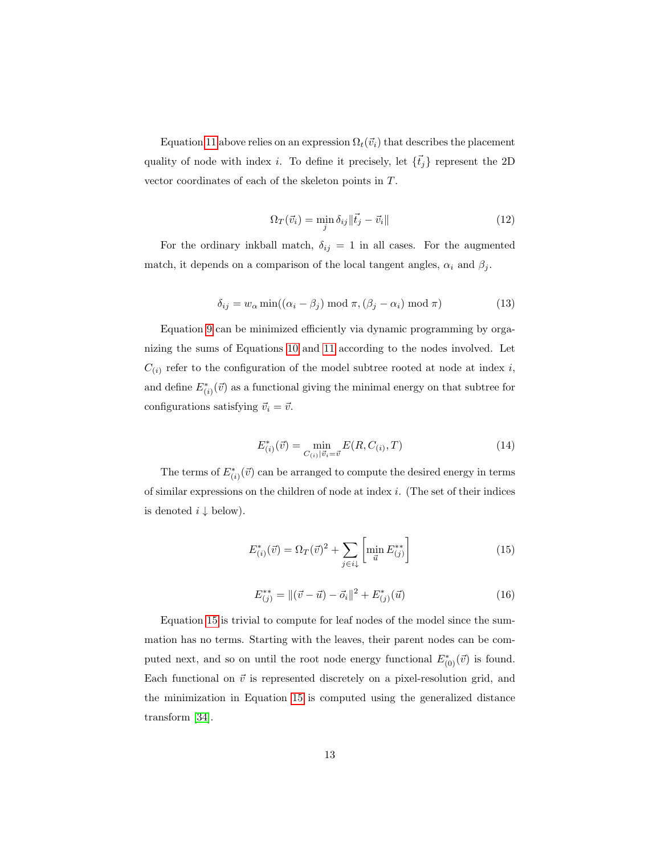Equation [11](#page-12-1) above relies on an expression  $\Omega_t(\vec{v}_i)$  that describes the placement quality of node with index *i*. To define it precisely, let  $\{\vec{t}_j\}$  represent the 2D vector coordinates of each of the skeleton points in T.

$$
\Omega_T(\vec{v}_i) = \min_j \delta_{ij} \|\vec{t}_j - \vec{v}_i\| \tag{12}
$$

For the ordinary inkball match,  $\delta_{ij} = 1$  in all cases. For the augmented match, it depends on a comparison of the local tangent angles,  $\alpha_i$  and  $\beta_j$ .

$$
\delta_{ij} = w_{\alpha} \min((\alpha_i - \beta_j) \mod \pi, (\beta_j - \alpha_i) \mod \pi)
$$
\n(13)

Equation [9](#page-12-2) can be minimized efficiently via dynamic programming by organizing the sums of Equations [10](#page-12-3) and [11](#page-12-1) according to the nodes involved. Let  $C_{(i)}$  refer to the configuration of the model subtree rooted at node at index i, and define  $E^*_{(i)}(\vec{v})$  as a functional giving the minimal energy on that subtree for configurations satisfying  $\vec{v}_i = \vec{v}$ .

$$
E_{(i)}^*(\vec{v}) = \min_{C_{(i)}|\vec{v}_i = \vec{v}} E(R, C_{(i)}, T)
$$
\n(14)

The terms of  $E_{(i)}^*(\vec{v})$  can be arranged to compute the desired energy in terms of similar expressions on the children of node at index i. (The set of their indices is denoted  $i \downarrow$  below).

<span id="page-13-0"></span>
$$
E_{(i)}^*(\vec{v}) = \Omega_T(\vec{v})^2 + \sum_{j \in \mathcal{i}\downarrow} \left[ \min_{\vec{u}} E_{(j)}^{**} \right] \tag{15}
$$

$$
E_{(j)}^{**} = ||(\vec{v} - \vec{u}) - \vec{o}_i||^2 + E_{(j)}^*(\vec{u})
$$
\n(16)

Equation [15](#page-13-0) is trivial to compute for leaf nodes of the model since the summation has no terms. Starting with the leaves, their parent nodes can be computed next, and so on until the root node energy functional  $E^*_{(0)}(\vec{v})$  is found. Each functional on  $\vec{v}$  is represented discretely on a pixel-resolution grid, and the minimization in Equation [15](#page-13-0) is computed using the generalized distance transform [\[34\]](#page-33-5).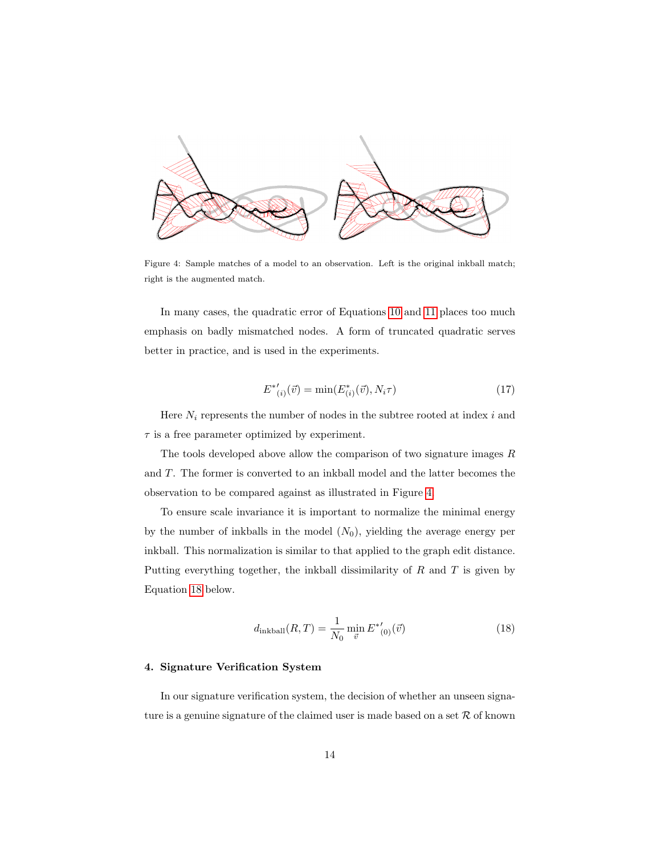

<span id="page-14-1"></span>Figure 4: Sample matches of a model to an observation. Left is the original inkball match; right is the augmented match.

In many cases, the quadratic error of Equations [10](#page-12-3) and [11](#page-12-1) places too much emphasis on badly mismatched nodes. A form of truncated quadratic serves better in practice, and is used in the experiments.

$$
E^{*'}_{(i)}(\vec{v}) = \min(E^{*}_{(i)}(\vec{v}), N_i \tau)
$$
\n(17)

Here  $N_i$  represents the number of nodes in the subtree rooted at index i and  $\tau$  is a free parameter optimized by experiment.

The tools developed above allow the comparison of two signature images  $R$ and T. The former is converted to an inkball model and the latter becomes the observation to be compared against as illustrated in Figure [4.](#page-14-1)

To ensure scale invariance it is important to normalize the minimal energy by the number of inkballs in the model  $(N_0)$ , yielding the average energy per inkball. This normalization is similar to that applied to the graph edit distance. Putting everything together, the inkball dissimilarity of  $R$  and  $T$  is given by Equation [18](#page-14-2) below.

<span id="page-14-2"></span>
$$
d_{\text{inkball}}(R,T) = \frac{1}{N_0} \min_{\vec{v}} E^{*'}_{(0)}(\vec{v})
$$
\n(18)

#### <span id="page-14-0"></span>4. Signature Verification System

In our signature verification system, the decision of whether an unseen signature is a genuine signature of the claimed user is made based on a set  $\mathcal R$  of known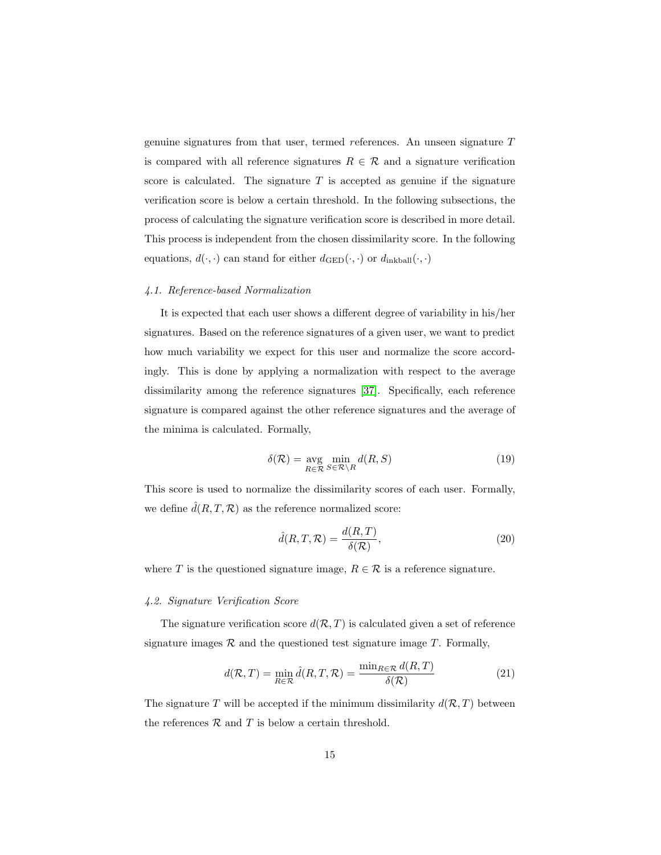genuine signatures from that user, termed references. An unseen signature T is compared with all reference signatures  $R \in \mathcal{R}$  and a signature verification score is calculated. The signature  $T$  is accepted as genuine if the signature verification score is below a certain threshold. In the following subsections, the process of calculating the signature verification score is described in more detail. This process is independent from the chosen dissimilarity score. In the following equations,  $d(\cdot, \cdot)$  can stand for either  $d_{\text{GED}}(\cdot, \cdot)$  or  $d_{\text{inkball}}(\cdot, \cdot)$ 

## 4.1. Reference-based Normalization

It is expected that each user shows a different degree of variability in his/her signatures. Based on the reference signatures of a given user, we want to predict how much variability we expect for this user and normalize the score accordingly. This is done by applying a normalization with respect to the average dissimilarity among the reference signatures [\[37\]](#page-33-8). Specifically, each reference signature is compared against the other reference signatures and the average of the minima is calculated. Formally,

$$
\delta(\mathcal{R}) = \underset{R \in \mathcal{R}}{\text{avg}} \min_{S \in \mathcal{R} \setminus R} d(R, S) \tag{19}
$$

This score is used to normalize the dissimilarity scores of each user. Formally, we define  $\hat{d}(R, T, \mathcal{R})$  as the reference normalized score:

$$
\hat{d}(R, T, \mathcal{R}) = \frac{d(R, T)}{\delta(\mathcal{R})},\tag{20}
$$

where T is the questioned signature image,  $R \in \mathcal{R}$  is a reference signature.

#### 4.2. Signature Verification Score

The signature verification score  $d(R, T)$  is calculated given a set of reference signature images  $\mathcal R$  and the questioned test signature image  $T$ . Formally,

$$
d(\mathcal{R}, T) = \min_{R \in \mathcal{R}} \hat{d}(R, T, \mathcal{R}) = \frac{\min_{R \in \mathcal{R}} d(R, T)}{\delta(\mathcal{R})}
$$
(21)

The signature T will be accepted if the minimum dissimilarity  $d(R, T)$  between the references  $R$  and  $T$  is below a certain threshold.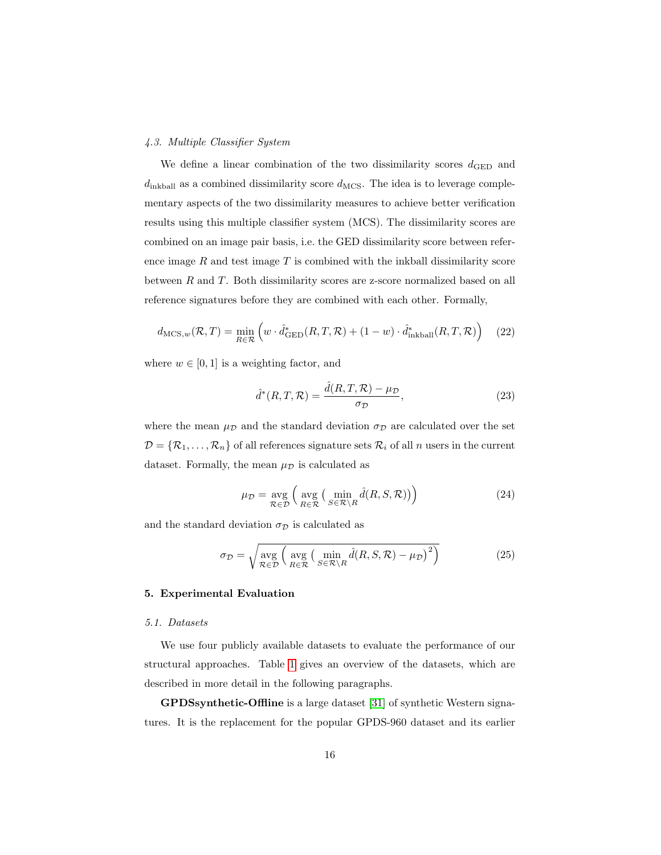## <span id="page-16-1"></span>4.3. Multiple Classifier System

We define a linear combination of the two dissimilarity scores  $d_{\text{GED}}$  and  $d_{\text{inkball}}$  as a combined dissimilarity score  $d_{\text{MCS}}$ . The idea is to leverage complementary aspects of the two dissimilarity measures to achieve better verification results using this multiple classifier system (MCS). The dissimilarity scores are combined on an image pair basis, i.e. the GED dissimilarity score between reference image  $R$  and test image  $T$  is combined with the inkball dissimilarity score between R and T. Both dissimilarity scores are z-score normalized based on all reference signatures before they are combined with each other. Formally,

$$
d_{\text{MCS},w}(\mathcal{R},T) = \min_{R \in \mathcal{R}} \left( w \cdot \hat{d}_{\text{GED}}^*(R,T,\mathcal{R}) + (1-w) \cdot \hat{d}_{\text{inkball}}^*(R,T,\mathcal{R}) \right) \tag{22}
$$

where  $w \in [0, 1]$  is a weighting factor, and

$$
\hat{d}^*(R, T, \mathcal{R}) = \frac{\hat{d}(R, T, \mathcal{R}) - \mu_{\mathcal{D}}}{\sigma_{\mathcal{D}}},\tag{23}
$$

where the mean  $\mu_{\mathcal{D}}$  and the standard deviation  $\sigma_{\mathcal{D}}$  are calculated over the set  $D = \{R_1, \ldots, R_n\}$  of all references signature sets  $R_i$  of all n users in the current dataset. Formally, the mean  $\mu_{\mathcal{D}}$  is calculated as

$$
\mu_{\mathcal{D}} = \underset{\mathcal{R} \in \mathcal{D}}{\text{avg}} \left( \underset{R \in \mathcal{R}}{\text{avg}} \left( \underset{S \in \mathcal{R} \setminus R}{\text{min}} \hat{d}(R, S, \mathcal{R}) \right) \right) \tag{24}
$$

and the standard deviation  $\sigma_{\mathcal{D}}$  is calculated as

$$
\sigma_{\mathcal{D}} = \sqrt{\underset{\mathcal{R} \in \mathcal{D}}{\text{avg}}} \left( \underset{R \in \mathcal{R}}{\text{avg}} \left( \underset{S \in \mathcal{R} \setminus R}{\text{min}} \hat{d}(R, S, \mathcal{R}) - \mu_{\mathcal{D}} \right)^2 \right)
$$
(25)

## <span id="page-16-0"></span>5. Experimental Evaluation

# 5.1. Datasets

We use four publicly available datasets to evaluate the performance of our structural approaches. Table [1](#page-18-0) gives an overview of the datasets, which are described in more detail in the following paragraphs.

GPDSsynthetic-Offline is a large dataset [\[31\]](#page-33-0) of synthetic Western signatures. It is the replacement for the popular GPDS-960 dataset and its earlier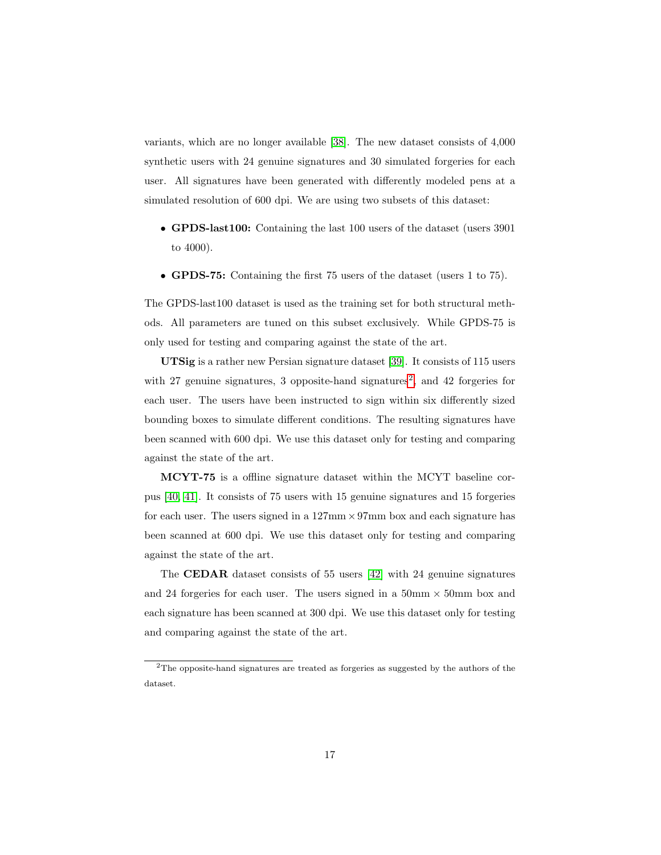variants, which are no longer available [\[38\]](#page-34-0). The new dataset consists of 4,000 synthetic users with 24 genuine signatures and 30 simulated forgeries for each user. All signatures have been generated with differently modeled pens at a simulated resolution of 600 dpi. We are using two subsets of this dataset:

- GPDS-last100: Containing the last 100 users of the dataset (users 3901 to 4000).
- GPDS-75: Containing the first 75 users of the dataset (users 1 to 75).

The GPDS-last100 dataset is used as the training set for both structural methods. All parameters are tuned on this subset exclusively. While GPDS-75 is only used for testing and comparing against the state of the art.

UTSig is a rather new Persian signature dataset [\[39\]](#page-34-1). It consists of 115 users with [2](#page-17-0)7 genuine signatures, 3 opposite-hand signatures<sup>2</sup>, and 42 forgeries for each user. The users have been instructed to sign within six differently sized bounding boxes to simulate different conditions. The resulting signatures have been scanned with 600 dpi. We use this dataset only for testing and comparing against the state of the art.

MCYT-75 is a offline signature dataset within the MCYT baseline corpus [\[40,](#page-34-2) [41\]](#page-34-3). It consists of 75 users with 15 genuine signatures and 15 forgeries for each user. The users signed in a  $127 \text{mm} \times 97 \text{mm}$  box and each signature has been scanned at 600 dpi. We use this dataset only for testing and comparing against the state of the art.

The CEDAR dataset consists of 55 users [\[42\]](#page-34-4) with 24 genuine signatures and 24 forgeries for each user. The users signed in a  $50 \text{mm} \times 50 \text{mm}$  box and each signature has been scanned at 300 dpi. We use this dataset only for testing and comparing against the state of the art.

<span id="page-17-0"></span><sup>2</sup>The opposite-hand signatures are treated as forgeries as suggested by the authors of the dataset.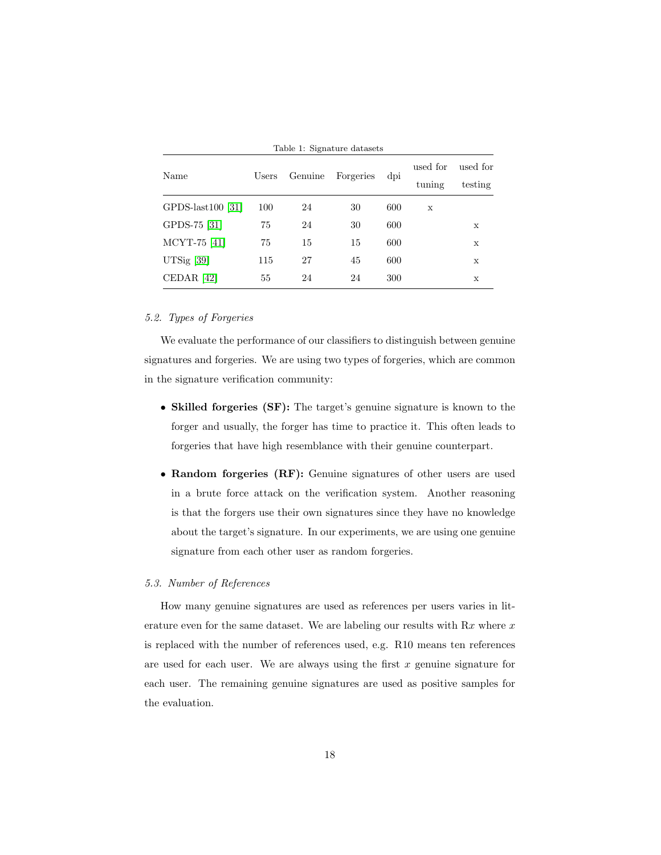| Table 1. Digital die Galascis |       |                      |    |     |                    |                     |  |  |  |  |
|-------------------------------|-------|----------------------|----|-----|--------------------|---------------------|--|--|--|--|
| Name                          | Users | Genuine<br>Forgeries |    | dpi | used for<br>tuning | used for<br>testing |  |  |  |  |
| GPDS-last100 $[31]$           | 100   | 24                   | 30 | 600 | X                  |                     |  |  |  |  |
| GPDS-75 [31]                  | 75    | 24                   | 30 | 600 |                    | X                   |  |  |  |  |
| MCYT-75 [41]                  | 75    | 15                   | 15 | 600 |                    | X                   |  |  |  |  |
| UTSig [39]                    | 115   | 27                   | 45 | 600 |                    | X                   |  |  |  |  |
| CEDAR <sup>[42]</sup>         | 55    | 24                   | 24 | 300 |                    | X                   |  |  |  |  |

# <span id="page-18-0"></span>Table 1: Signature datasets

# 5.2. Types of Forgeries

We evaluate the performance of our classifiers to distinguish between genuine signatures and forgeries. We are using two types of forgeries, which are common in the signature verification community:

- Skilled forgeries (SF): The target's genuine signature is known to the forger and usually, the forger has time to practice it. This often leads to forgeries that have high resemblance with their genuine counterpart.
- Random forgeries (RF): Genuine signatures of other users are used in a brute force attack on the verification system. Another reasoning is that the forgers use their own signatures since they have no knowledge about the target's signature. In our experiments, we are using one genuine signature from each other user as random forgeries.

#### 5.3. Number of References

How many genuine signatures are used as references per users varies in literature even for the same dataset. We are labeling our results with  $Rx$  where x is replaced with the number of references used, e.g. R10 means ten references are used for each user. We are always using the first  $x$  genuine signature for each user. The remaining genuine signatures are used as positive samples for the evaluation.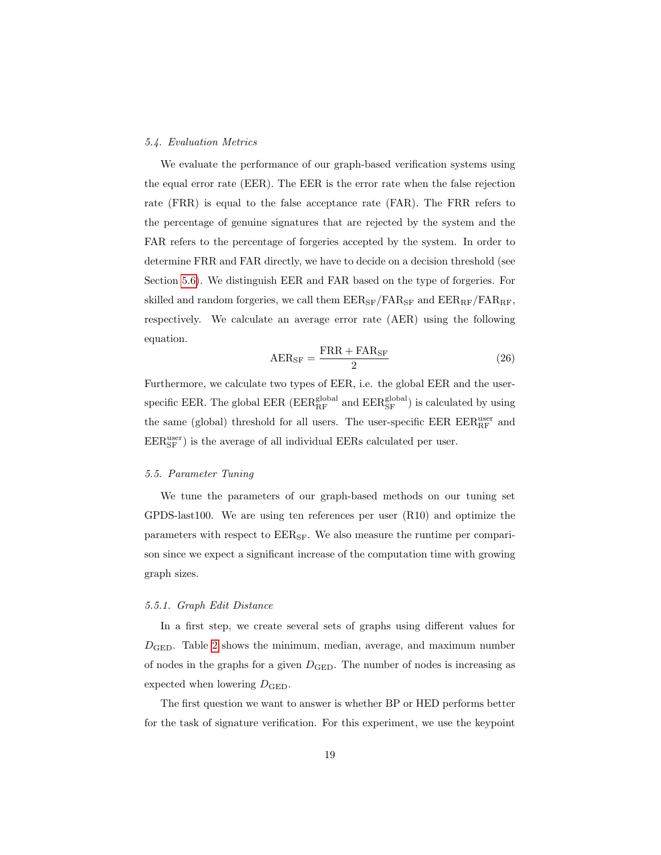#### <span id="page-19-0"></span>5.4. Evaluation Metrics

We evaluate the performance of our graph-based verification systems using the equal error rate (EER). The EER is the error rate when the false rejection rate (FRR) is equal to the false acceptance rate (FAR). The FRR refers to the percentage of genuine signatures that are rejected by the system and the FAR refers to the percentage of forgeries accepted by the system. In order to determine FRR and FAR directly, we have to decide on a decision threshold (see Section [5.6\)](#page-24-0). We distinguish EER and FAR based on the type of forgeries. For skilled and random forgeries, we call them  $EER_{SF}/FAR_{SF}$  and  $EER_{RF}/FAR_{RF}$ , respectively. We calculate an average error rate (AER) using the following equation.

$$
AER_{SF} = \frac{FRR + FAR_{SF}}{2}
$$
 (26)

Furthermore, we calculate two types of EER, i.e. the global EER and the userspecific EER. The global EER ( $EER_{RF}^{\text{global}}$  and  $EER_{SF}^{\text{global}}$ ) is calculated by using the same (global) threshold for all users. The user-specific EER  $\rm EER\,EER_{RF}^{\rm user}$  and  $\rm{EER}_{\rm{SF}}^{\rm{user}}$  ) is the average of all individual EERs calculated per user.

# 5.5. Parameter Tuning

We tune the parameters of our graph-based methods on our tuning set GPDS-last100. We are using ten references per user (R10) and optimize the parameters with respect to  $EER_{SF}$ . We also measure the runtime per comparison since we expect a significant increase of the computation time with growing graph sizes.

## 5.5.1. Graph Edit Distance

In a first step, we create several sets of graphs using different values for  $D_{\text{GED}}$ . Table [2](#page-20-0) shows the minimum, median, average, and maximum number of nodes in the graphs for a given  $D_{\text{GED}}$ . The number of nodes is increasing as expected when lowering  $D_{\text{GED}}$ .

The first question we want to answer is whether BP or HED performs better for the task of signature verification. For this experiment, we use the keypoint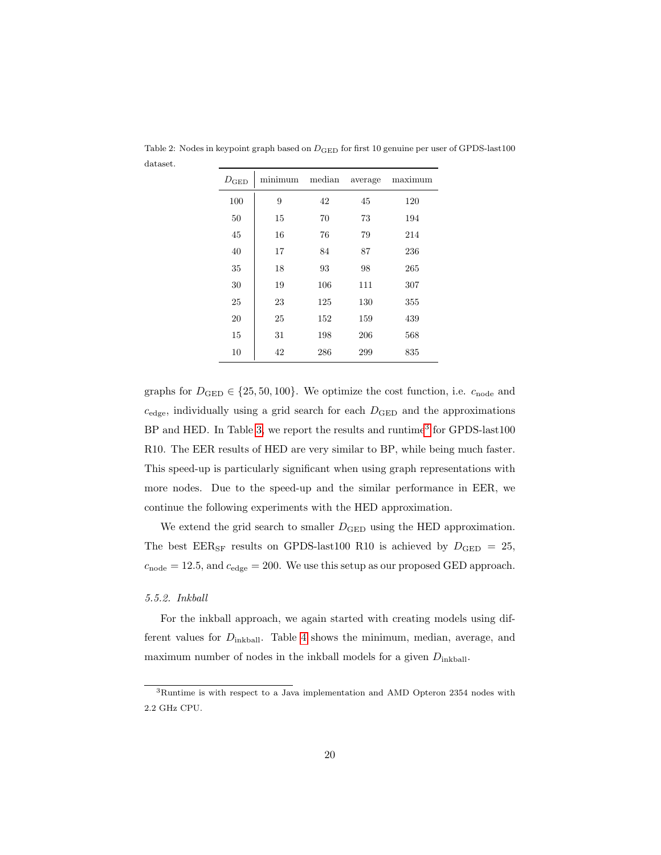| $D_{\rm GED}$ | minimum | median | average | maximum |
|---------------|---------|--------|---------|---------|
| 100           | 9       | 42     | 45      | 120     |
| 50            | 15      | 70     | 73      | 194     |
| 45            | 16      | 76     | 79      | 214     |
| 40            | 17      | 84     | 87      | 236     |
| 35            | 18      | 93     | 98      | 265     |
| 30            | 19      | 106    | 111     | 307     |
| 25            | 23      | 125    | 130     | 355     |
| 20            | 25      | 152    | 159     | 439     |
| 15            | 31      | 198    | 206     | 568     |
| 10            | 42      | 286    | 299     | 835     |

<span id="page-20-0"></span>Table 2: Nodes in keypoint graph based on  $D_{\rm GED}$  for first 10 genuine per user of GPDS-last100 dataset.

graphs for  $D_{\text{GED}} \in \{25, 50, 100\}$ . We optimize the cost function, i.e.  $c_{\text{node}}$  and  $c_{\text{edge}}$ , individually using a grid search for each  $D_{\text{GED}}$  and the approximations BP and HED. In Table [3,](#page-21-0) we report the results and runtime<sup>[3](#page-20-1)</sup> for GPDS-last100 R10. The EER results of HED are very similar to BP, while being much faster. This speed-up is particularly significant when using graph representations with more nodes. Due to the speed-up and the similar performance in EER, we continue the following experiments with the HED approximation.

We extend the grid search to smaller  $D_{\text{GED}}$  using the HED approximation. The best EER<sub>SF</sub> results on GPDS-last100 R10 is achieved by  $D_{\text{GED}} = 25$ ,  $c_{\text{node}} = 12.5$ , and  $c_{\text{edge}} = 200$ . We use this setup as our proposed GED approach.

#### 5.5.2. Inkball

For the inkball approach, we again started with creating models using different values for  $D_{\text{inkball}}$ . Table [4](#page-21-1) shows the minimum, median, average, and maximum number of nodes in the inkball models for a given  $D_{\text{inkball}}$ .

<span id="page-20-1"></span><sup>3</sup>Runtime is with respect to a Java implementation and AMD Opteron 2354 nodes with 2.2 GHz CPU.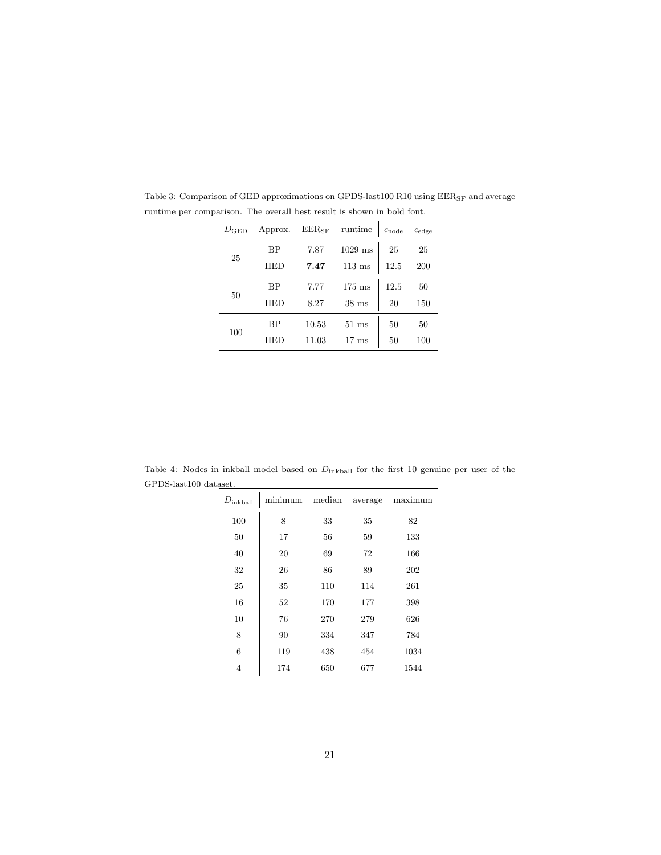| $1029$ ms<br>ВP<br>7.87<br>25<br>25<br>25<br>HED<br>12.5<br>7.47<br>$113 \text{ ms}$<br>200<br>ВP<br>12.5<br>7.77<br>$175 \text{ ms}$<br>50<br>50<br>8.27<br><b>HED</b><br>$38$ ms<br>20<br>150<br>ВP<br>10.53<br>$51 \text{ ms}$<br>50<br>50<br>100<br>11.03<br>$17 \text{ ms}$<br>50<br>HED<br>100 | $D_{\rm GED}$ | Approx. | $EER_{SF}$ | runtime | $c_{\text{node}}$ | $c_{\text{edge}}$ |
|------------------------------------------------------------------------------------------------------------------------------------------------------------------------------------------------------------------------------------------------------------------------------------------------------|---------------|---------|------------|---------|-------------------|-------------------|
|                                                                                                                                                                                                                                                                                                      |               |         |            |         |                   |                   |
|                                                                                                                                                                                                                                                                                                      |               |         |            |         |                   |                   |
|                                                                                                                                                                                                                                                                                                      |               |         |            |         |                   |                   |
|                                                                                                                                                                                                                                                                                                      |               |         |            |         |                   |                   |
|                                                                                                                                                                                                                                                                                                      |               |         |            |         |                   |                   |
|                                                                                                                                                                                                                                                                                                      |               |         |            |         |                   |                   |

<span id="page-21-0"></span>Table 3: Comparison of GED approximations on GPDS-last100 R10 using  $\rm EER_{SF}$  and average runtime per comparison. The overall best result is shown in bold font.

<span id="page-21-1"></span>Table 4: Nodes in inkball model based on  $D_{\text{inkball}}$  for the first 10 genuine per user of the GPDS-last100 dataset.  $\overline{\phantom{a}}$ 

| $D_{\rm inkball}$ | minimum | median | average | maximum |
|-------------------|---------|--------|---------|---------|
| 100               | 8       | 33     | 35      | 82      |
| 50                | 17      | 56     | 59      | 133     |
| 40                | 20      | 69     | 72      | 166     |
| 32                | 26      | 86     | 89      | 202     |
| 25                | 35      | 110    | 114     | 261     |
| 16                | 52      | 170    | 177     | 398     |
| 10                | 76      | 270    | 279     | 626     |
| 8                 | 90      | 334    | 347     | 784     |
| 6                 | 119     | 438    | 454     | 1034    |
| 4                 | 174     | 650    | 677     | 1544    |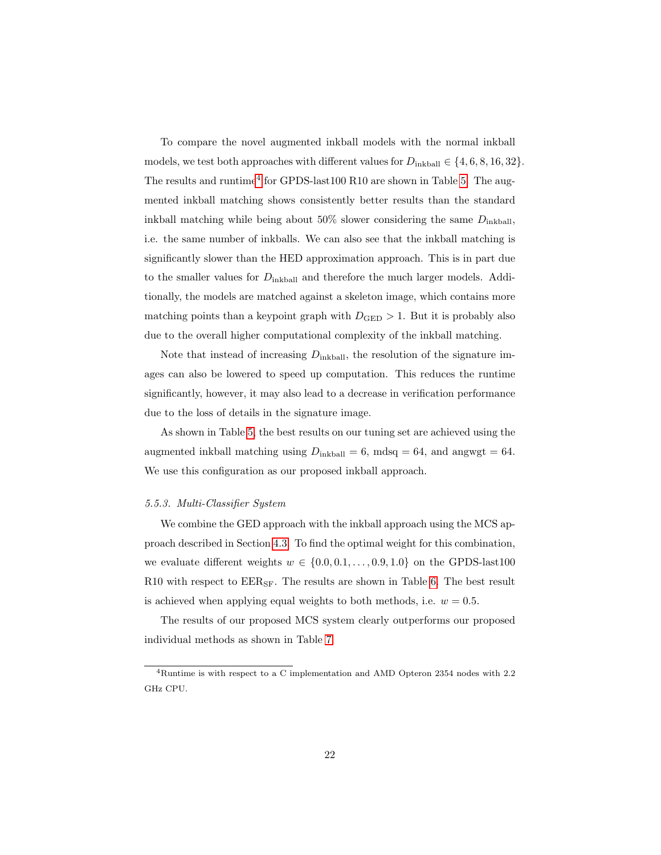To compare the novel augmented inkball models with the normal inkball models, we test both approaches with different values for  $D_{\text{inkball}} \in \{4, 6, 8, 16, 32\}.$ The results and runtime<sup>[4](#page-22-0)</sup> for GPDS-last100 R10 are shown in Table [5.](#page-23-0) The augmented inkball matching shows consistently better results than the standard inkball matching while being about  $50\%$  slower considering the same  $D_{\text{inkball}}$ , i.e. the same number of inkballs. We can also see that the inkball matching is significantly slower than the HED approximation approach. This is in part due to the smaller values for  $D_{\text{inkball}}$  and therefore the much larger models. Additionally, the models are matched against a skeleton image, which contains more matching points than a keypoint graph with  $D_{\text{GED}} > 1$ . But it is probably also due to the overall higher computational complexity of the inkball matching.

Note that instead of increasing  $D_{\text{inkball}}$ , the resolution of the signature images can also be lowered to speed up computation. This reduces the runtime significantly, however, it may also lead to a decrease in verification performance due to the loss of details in the signature image.

As shown in Table [5,](#page-23-0) the best results on our tuning set are achieved using the augmented inkball matching using  $D_{\text{inkball}} = 6$ , mdsq = 64, and angwgt = 64. We use this configuration as our proposed inkball approach.

# 5.5.3. Multi-Classifier System

We combine the GED approach with the inkball approach using the MCS approach described in Section [4.3.](#page-16-1) To find the optimal weight for this combination, we evaluate different weights  $w \in \{0.0, 0.1, \ldots, 0.9, 1.0\}$  on the GPDS-last100 R10 with respect to  $EER_{SF}$ . The results are shown in Table [6.](#page-23-1) The best result is achieved when applying equal weights to both methods, i.e.  $w = 0.5$ .

The results of our proposed MCS system clearly outperforms our proposed individual methods as shown in Table [7.](#page-23-2)

<span id="page-22-0"></span><sup>4</sup>Runtime is with respect to a C implementation and AMD Opteron 2354 nodes with 2.2 GHz CPU.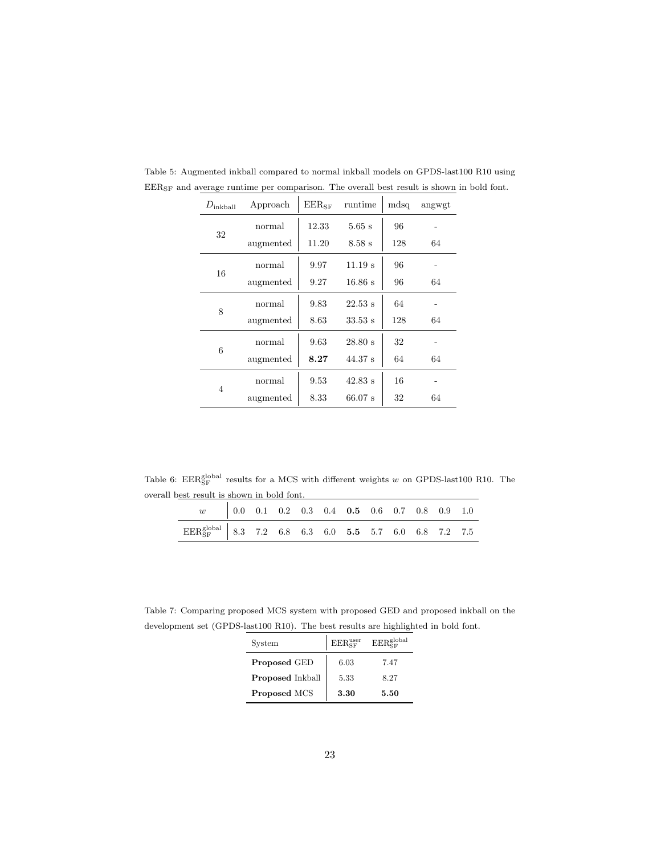| $D_{\text{inkball}}$ | Approach  | $EER_{SF}$ | runtime   | mdsq | angwgt |
|----------------------|-----------|------------|-----------|------|--------|
| 32                   | normal    | 12.33      | $5.65$ s  | 96   |        |
|                      | augmented | 11.20      | $8.58$ s  | 128  | 64     |
|                      | normal    | 9.97       | 11.19 s   | 96   |        |
| 16                   | augmented | 9.27       | $16.86$ s | 96   | 64     |
|                      | normal    | 9.83       | 22.53 s   | 64   |        |
| 8                    | augmented | 8.63       | $33.53$ s | 128  | 64     |
|                      | normal    | 9.63       | 28.80 s   | 32   |        |
| 6                    | augmented | 8.27       | $44.37$ s | 64   | 64     |
|                      | normal    | 9.53       | 42.83 s   | 16   |        |
| 4                    | augmented | 8.33       | $66.07$ s | 32   | 64     |

<span id="page-23-0"></span>Table 5: Augmented inkball compared to normal inkball models on GPDS-last100 R10 using  $\rm{EER}_{\rm{SF}}$  and average runtime per comparison. The overall best result is shown in bold font.

Table 6:  $\text{EER}_{\text{SF}}^{\text{global}}$  results for a MCS with different weights w on GPDS-last100 R10. The overall best result is shown in bold font.

<span id="page-23-1"></span>

| $w = \begin{bmatrix} 0.0 & 0.1 & 0.2 & 0.3 & 0.4 & \mathbf{0.5} & 0.6 & 0.7 & 0.8 & 0.9 & 1.0 \end{bmatrix}$                                                |  |  |  |  |  |  |
|-------------------------------------------------------------------------------------------------------------------------------------------------------------|--|--|--|--|--|--|
| $\begin{array}{c cccccccccc} \text{EER}_{\text{SF}}^{\text{global}} & 8.3 & 7.2 & 6.8 & 6.3 & 6.0 & \textbf{5.5} & 5.7 & 6.0 & 6.8 & 7.2 & 7.5 \end{array}$ |  |  |  |  |  |  |

<span id="page-23-2"></span>Table 7: Comparing proposed MCS system with proposed GED and proposed inkball on the development set (GPDS-last100 R10). The best results are highlighted in bold font.

| System                  | $EER_{SF}^{user}$ | $\mathrm{EER}_{\mathrm{cr}}^{\mathrm{global}}$ |
|-------------------------|-------------------|------------------------------------------------|
| Proposed GED            | 6.03              | 7.47                                           |
| <b>Proposed Inkball</b> | 5.33              | 8.27                                           |
| Proposed MCS            | 3.30              | 5.50                                           |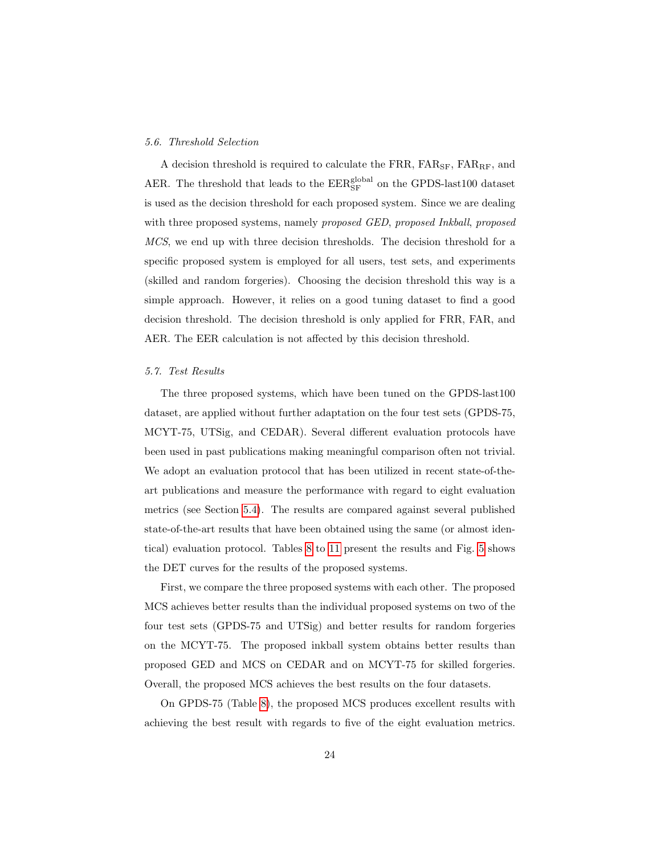#### <span id="page-24-0"></span>5.6. Threshold Selection

A decision threshold is required to calculate the FRR,  $FAR_{SF}$ ,  $FAR_{RF}$ , and AER. The threshold that leads to the  $\rm EER_{SF}^{global}$  on the GPDS-last100 dataset is used as the decision threshold for each proposed system. Since we are dealing with three proposed systems, namely proposed GED, proposed Inkball, proposed MCS, we end up with three decision thresholds. The decision threshold for a specific proposed system is employed for all users, test sets, and experiments (skilled and random forgeries). Choosing the decision threshold this way is a simple approach. However, it relies on a good tuning dataset to find a good decision threshold. The decision threshold is only applied for FRR, FAR, and AER. The EER calculation is not affected by this decision threshold.

#### 5.7. Test Results

The three proposed systems, which have been tuned on the GPDS-last100 dataset, are applied without further adaptation on the four test sets (GPDS-75, MCYT-75, UTSig, and CEDAR). Several different evaluation protocols have been used in past publications making meaningful comparison often not trivial. We adopt an evaluation protocol that has been utilized in recent state-of-theart publications and measure the performance with regard to eight evaluation metrics (see Section [5.4\)](#page-19-0). The results are compared against several published state-of-the-art results that have been obtained using the same (or almost identical) evaluation protocol. Tables [8](#page-26-0) to [11](#page-27-0) present the results and Fig. [5](#page-28-1) shows the DET curves for the results of the proposed systems.

First, we compare the three proposed systems with each other. The proposed MCS achieves better results than the individual proposed systems on two of the four test sets (GPDS-75 and UTSig) and better results for random forgeries on the MCYT-75. The proposed inkball system obtains better results than proposed GED and MCS on CEDAR and on MCYT-75 for skilled forgeries. Overall, the proposed MCS achieves the best results on the four datasets.

On GPDS-75 (Table [8\)](#page-26-0), the proposed MCS produces excellent results with achieving the best result with regards to five of the eight evaluation metrics.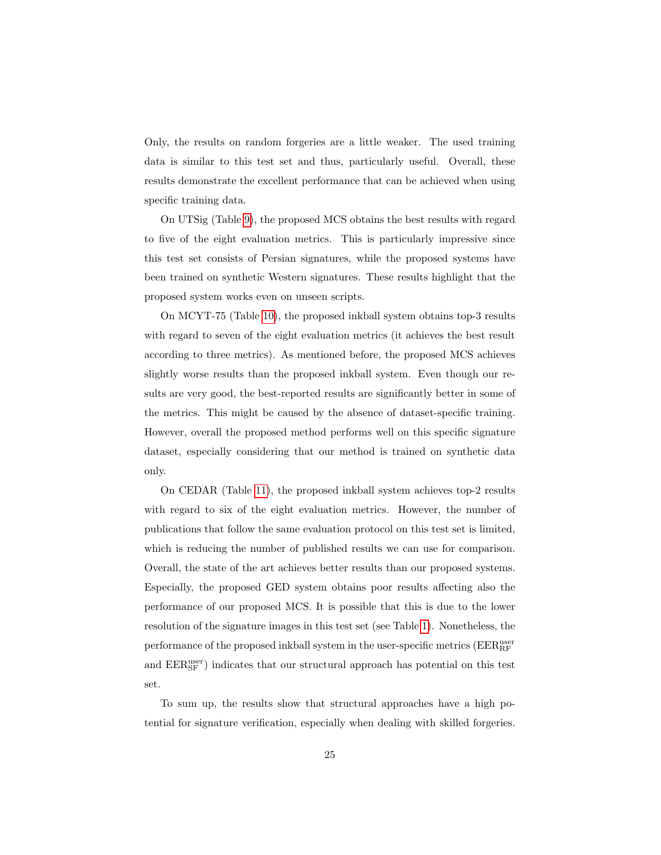Only, the results on random forgeries are a little weaker. The used training data is similar to this test set and thus, particularly useful. Overall, these results demonstrate the excellent performance that can be achieved when using specific training data.

On UTSig (Table [9\)](#page-26-1), the proposed MCS obtains the best results with regard to five of the eight evaluation metrics. This is particularly impressive since this test set consists of Persian signatures, while the proposed systems have been trained on synthetic Western signatures. These results highlight that the proposed system works even on unseen scripts.

On MCYT-75 (Table [10\)](#page-27-1), the proposed inkball system obtains top-3 results with regard to seven of the eight evaluation metrics (it achieves the best result according to three metrics). As mentioned before, the proposed MCS achieves slightly worse results than the proposed inkball system. Even though our results are very good, the best-reported results are significantly better in some of the metrics. This might be caused by the absence of dataset-specific training. However, overall the proposed method performs well on this specific signature dataset, especially considering that our method is trained on synthetic data only.

On CEDAR (Table [11\)](#page-27-0), the proposed inkball system achieves top-2 results with regard to six of the eight evaluation metrics. However, the number of publications that follow the same evaluation protocol on this test set is limited, which is reducing the number of published results we can use for comparison. Overall, the state of the art achieves better results than our proposed systems. Especially, the proposed GED system obtains poor results affecting also the performance of our proposed MCS. It is possible that this is due to the lower resolution of the signature images in this test set (see Table [1\)](#page-18-0). Nonetheless, the performance of the proposed inkball system in the user-specific metrics ( $\rm EER_{RF}^{\rm user}$ and  $\rm EER_{SF}^{user})$  indicates that our structural approach has potential on this test set.

To sum up, the results show that structural approaches have a high potential for signature verification, especially when dealing with skilled forgeries.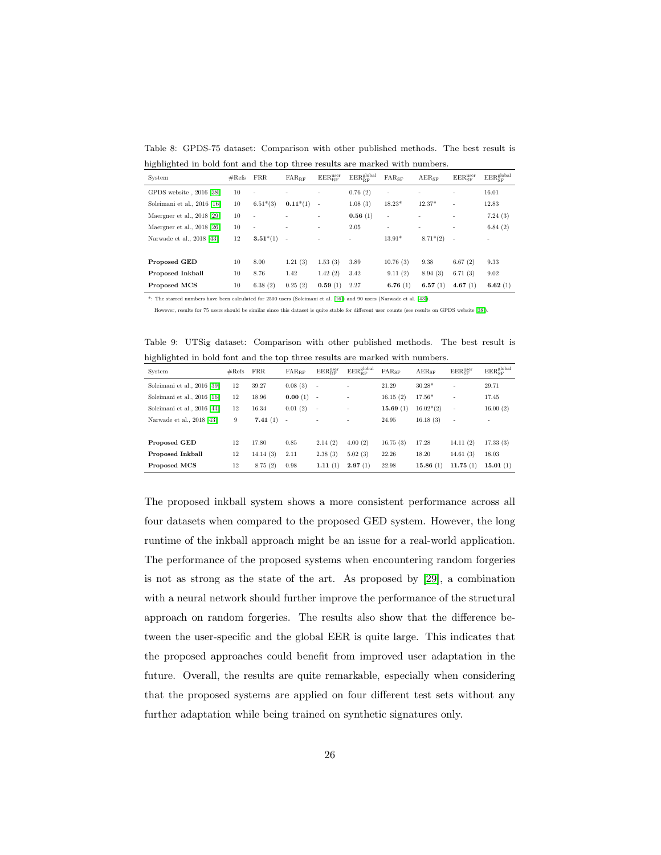<span id="page-26-0"></span>Table 8: GPDS-75 dataset: Comparison with other published methods. The best result is highlighted in bold font and the top three results are marked with numbers.

| System                       | $# \text{Refs}$ | <b>FRR</b> | $FAR_{BF}$               | $EER_{BF}^{user}$        | $\rm{EER}_{\rm RF}^{\rm global}$ | $FAR_{SF}$               | $AER_{SF}$ | $EER_{SF}^{user}$ | $EER_{\tiny{\rm SF}}^{\rm global}$ |
|------------------------------|-----------------|------------|--------------------------|--------------------------|----------------------------------|--------------------------|------------|-------------------|------------------------------------|
| GPDS website, 2016 [38]      | 10              | ٠          |                          |                          | 0.76(2)                          | $\overline{\phantom{a}}$ |            | ٠                 | 16.01                              |
| Soleimani et al., 2016 [16]  | 10              | $6.51*(3)$ | $0.11*(1)$               | $\overline{\phantom{a}}$ | 1.08(3)                          | $18.23*$                 | $12.37*$   | ٠                 | 12.83                              |
| Maergner et al., $2018$ [29] | 10              | ۰          |                          | ٠                        | 0.56(1)                          | $\overline{\phantom{a}}$ |            | ۰                 | 7.24(3)                            |
| Maergner et al., $2018$ [26] | 10              | ۰          | ۰                        | $\overline{\phantom{a}}$ | 2.05                             | ۰                        | ۰          | ٠                 | 6.84(2)                            |
| Narwade et al., 2018 [43]    | 12              | $3.51*(1)$ | $\overline{\phantom{a}}$ |                          | ٠                                | $13.91*$                 | $8.71*(2)$ | $\sim$            |                                    |
|                              |                 |            |                          |                          |                                  |                          |            |                   |                                    |
| Proposed GED                 | 10              | 8.00       | 1.21(3)                  | 1.53(3)                  | 3.89                             | 10.76(3)                 | 9.38       | 6.67(2)           | 9.33                               |
| <b>Proposed Inkball</b>      | 10              | 8.76       | 1.42                     | 1.42(2)                  | 3.42                             | 9.11(2)                  | 8.94(3)    | 6.71(3)           | 9.02                               |
| Proposed MCS                 | 10              | 6.38(2)    | 0.25(2)                  | 0.59(1)                  | 2.27                             | 6.76(1)                  | 6.57(1)    | 4.67(1)           | 6.62 $(1)$                         |

\*: The starred numbers have been calculated for 2500 users (Soleimani et al. [\[16\]\)](#page-31-5) and 90 users (Narwade et al. [\[43\]\)](#page-34-5).

<span id="page-26-1"></span>However, results for 75 users should be similar since this dataset is quite stable for different user counts (see results on GPDS website [\[38\]](#page-34-0)).

Table 9: UTSig dataset: Comparison with other published methods. The best result is highlighted in bold font and the top three results are marked with numbers.

| System                      | $\#\text{Refs}$ | <b>FRR</b> | $FAR_{RF}$               | $EER_{RF}^{\text{user}}$ | $EER_{BF}^{global}$ | $FAR_{SF}$ | $AER_{SF}$  | $EER_{SF}^{user}$ | $EER_{\rm SF}^{\rm global}$ |
|-----------------------------|-----------------|------------|--------------------------|--------------------------|---------------------|------------|-------------|-------------------|-----------------------------|
| Soleimani et al., 2016 [39] | 12              | 39.27      | 0.08(3)                  | $\sim$                   | ٠                   | 21.29      | $30.28*$    | ٠                 | 29.71                       |
| Soleimani et al., 2016 [16] | 12              | 18.96      | 0.00(1)                  | $\sim$                   | ٠                   | 16.15(2)   | $17.56*$    | ٠                 | 17.45                       |
| Soleimani et al., 2016 [44] | 12              | 16.34      | 0.01(2)                  | $\sim$                   | ٠                   | 15.69(1)   | $16.02*(2)$ | ٠                 | 16.00(2)                    |
| Narwade et al., 2018 [43]   | 9               | 7.41(1)    | $\overline{\phantom{a}}$ |                          |                     | 24.95      | 16.18(3)    | ٠                 |                             |
|                             |                 |            |                          |                          |                     |            |             |                   |                             |
| Proposed GED                | 12              | 17.80      | 0.85                     | 2.14(2)                  | 4.00(2)             | 16.75(3)   | 17.28       | 14.11(2)          | 17.33(3)                    |
| Proposed Inkball            | 12              | 14.14(3)   | 2.11                     | 2.38(3)                  | 5.02(3)             | 22.26      | 18.20       | 14.61(3)          | 18.03                       |
| Proposed MCS                | 12              | 8.75(2)    | 0.98                     | 1.11(1)                  | 2.97(1)             | 22.98      | 15.86(1)    | 11.75(1)          | 15.01(1)                    |

The proposed inkball system shows a more consistent performance across all four datasets when compared to the proposed GED system. However, the long runtime of the inkball approach might be an issue for a real-world application. The performance of the proposed systems when encountering random forgeries is not as strong as the state of the art. As proposed by [\[29\]](#page-33-1), a combination with a neural network should further improve the performance of the structural approach on random forgeries. The results also show that the difference between the user-specific and the global EER is quite large. This indicates that the proposed approaches could benefit from improved user adaptation in the future. Overall, the results are quite remarkable, especially when considering that the proposed systems are applied on four different test sets without any further adaptation while being trained on synthetic signatures only.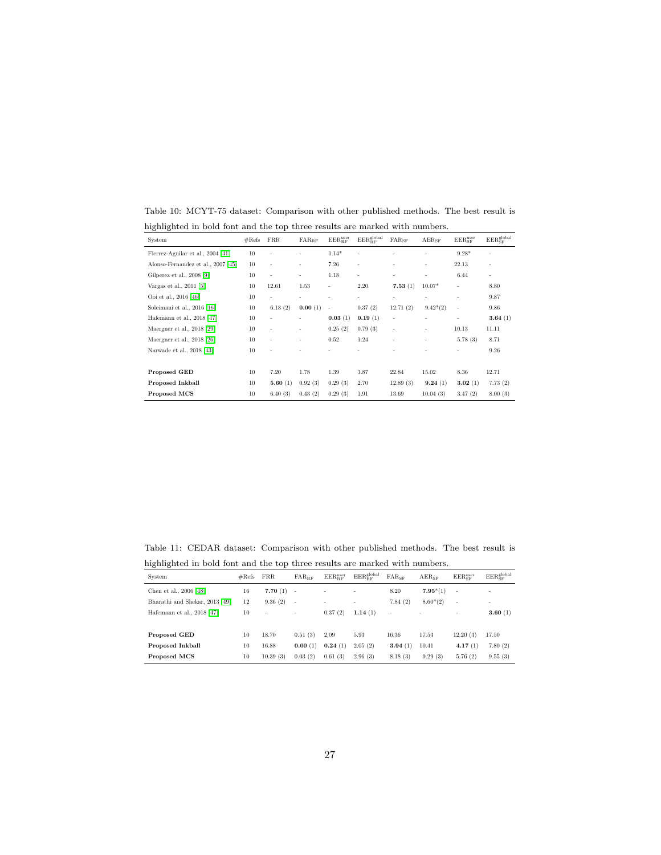| System                             | #Refs | <b>FRR</b> | $\text{FAR}_{\text{RF}}$ | $EER_{RF}^{user}$ | $\rm{EER}_\mathit{RF}^\mathit{global}$ | $FAR_{SF}$ | $AER_{SF}$ | $EER_{SF}^{user}$        | $\rm{EER}_{\rm{SF}}^{\rm{global}}$ |
|------------------------------------|-------|------------|--------------------------|-------------------|----------------------------------------|------------|------------|--------------------------|------------------------------------|
| Fierrez-Aguilar et al., 2004 [41]  | 10    |            | ٠                        | $1.14*$           | ٠                                      |            | ٠          | $9.28*$                  | ٠                                  |
| Alonso-Fernandez et al., 2007 [45] | 10    | ٠          | ٠                        | 7.26              | $\overline{\phantom{a}}$               | ٠          | ٠          | 22.13                    | ٠                                  |
| Gilperez et al., 2008 [9]          | 10    | ٠          | $\overline{\phantom{a}}$ | 1.18              | ٠                                      | ٠          | ٠          | 6.44                     | ٠                                  |
| Vargas et al., 2011 [5]            | 10    | 12.61      | 1.53                     | -                 | 2.20                                   | 7.53(1)    | $10.07*$   | ٠                        | 8.80                               |
| Ooi et al., 2016 [46]              | 10    | ٠          | ٠                        | ۰                 | ٠                                      | ٠          | ۰          | ٠                        | 9.87                               |
| Soleimani et al., 2016 [16]        | 10    | 6.13(2)    | 0.00(1)                  | ٠                 | 0.37(2)                                | 12.71(2)   | $9.42*(2)$ | $\overline{\phantom{a}}$ | 9.86                               |
| Hafemann et al., 2018 [47]         | 10    | ٠          | ٠                        | 0.03(1)           | 0.19(1)                                | ٠          | ۰          | $\overline{\phantom{a}}$ | 3.64(1)                            |
| Maergner et al., 2018 [29]         | 10    | ٠          | $\overline{\phantom{a}}$ | 0.25(2)           | 0.79(3)                                | ٠          | -          | 10.13                    | 11.11                              |
| Maergner et al., 2018 [26]         | 10    | ٠          | $\overline{\phantom{a}}$ | 0.52              | 1.24                                   | ٠          | ۰          | 5.78(3)                  | 8.71                               |
| Narwade et al., 2018 [43]          | 10    | ٠          | ٠                        |                   |                                        |            |            | ٠                        | 9.26                               |
|                                    |       |            |                          |                   |                                        |            |            |                          |                                    |
| Proposed GED                       | 10    | 7.20       | 1.78                     | 1.39              | 3.87                                   | 22.84      | 15.02      | 8.36                     | 12.71                              |
| Proposed Inkball                   | 10    | 5.60(1)    | 0.92(3)                  | 0.29(3)           | 2.70                                   | 12.89(3)   | 9.24(1)    | 3.02(1)                  | 7.73(2)                            |
| Proposed MCS                       | 10    | 6.40(3)    | 0.43(2)                  | 0.29(3)           | 1.91                                   | 13.69      | 10.04(3)   | 3.47(2)                  | 8.00(3)                            |

<span id="page-27-1"></span>Table 10: MCYT-75 dataset: Comparison with other published methods. The best result is highlighted in bold font and the top three results are marked with numbers.

<span id="page-27-0"></span>Table 11: CEDAR dataset: Comparison with other published methods. The best result is highlighted in bold font and the top three results are marked with numbers.  $\overline{a}$ 

| System                         | #Refs | <b>FRR</b>               | $FAR_{BF}$ | $EER_{DE}^{user}$ | $EER_{DE}^{global}$ | $FAR_{SF}$ | $AER_{SF}$ | $EER_{\text{CF}}^{\text{user}}$ | $\rm{EER}_{\rm SF}^{\rm global}$ |
|--------------------------------|-------|--------------------------|------------|-------------------|---------------------|------------|------------|---------------------------------|----------------------------------|
| Chen et al., 2006 [48]         | 16    | 7.70(1)                  | $\sim$     | ٠                 | ٠                   | 8.20       | $7.95*(1)$ | ٠                               | ٠                                |
| Bharathi and Shekar, 2013 [49] | 12    | 9.36(2)                  | $\sim$     | ٠                 | ٠                   | 7.84(2)    | $8.60*(2)$ | ٠                               | ۰                                |
| Hafemann et al., $2018$ [47]   | 10    | $\overline{\phantom{a}}$ | ٠          | 0.37(2)           | 1.14(1)             | ٠          |            | ٠                               | 3.60(1)                          |
|                                |       |                          |            |                   |                     |            |            |                                 |                                  |
| Proposed GED                   | 10    | 18.70                    | 0.51(3)    | 2.09              | 5.93                | 16.36      | 17.53      | 12.20(3)                        | 17.50                            |
| Proposed Inkball               | 10    | 16.88                    | 0.00(1)    | 0.24(1)           | 2.05(2)             | 3.94(1)    | 10.41      | 4.17(1)                         | 7.80(2)                          |
| Proposed MCS                   | 10    | 10.39(3)                 | 0.03(2)    | 0.61(3)           | 2.96(3)             | 8.18(3)    | 9.29(3)    | 5.76(2)                         | 9.55(3)                          |
|                                |       |                          |            |                   |                     |            |            |                                 |                                  |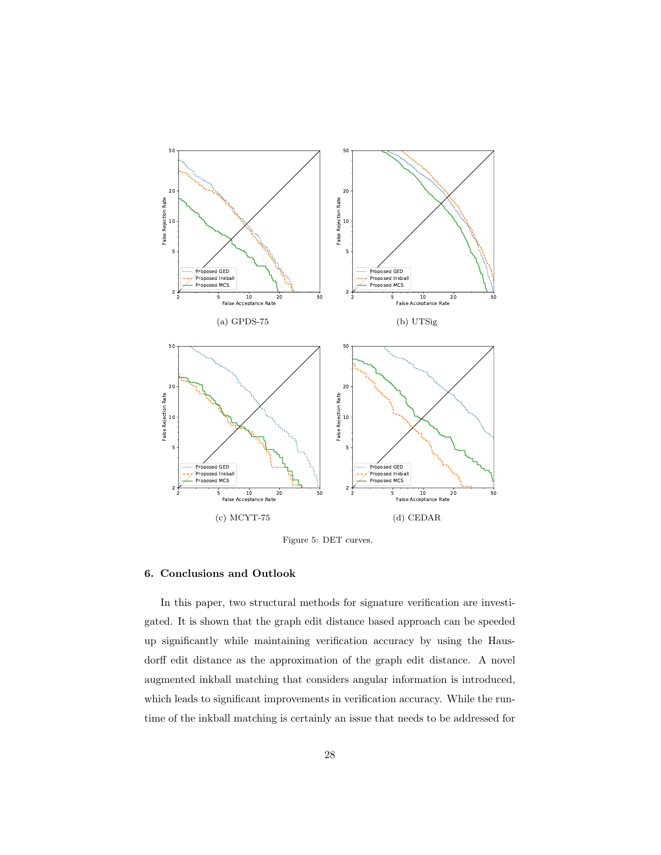

<span id="page-28-1"></span>Figure 5: DET curves.

# <span id="page-28-0"></span>6. Conclusions and Outlook

In this paper, two structural methods for signature verification are investigated. It is shown that the graph edit distance based approach can be speeded up significantly while maintaining verification accuracy by using the Hausdorff edit distance as the approximation of the graph edit distance. A novel augmented inkball matching that considers angular information is introduced, which leads to significant improvements in verification accuracy. While the runtime of the inkball matching is certainly an issue that needs to be addressed for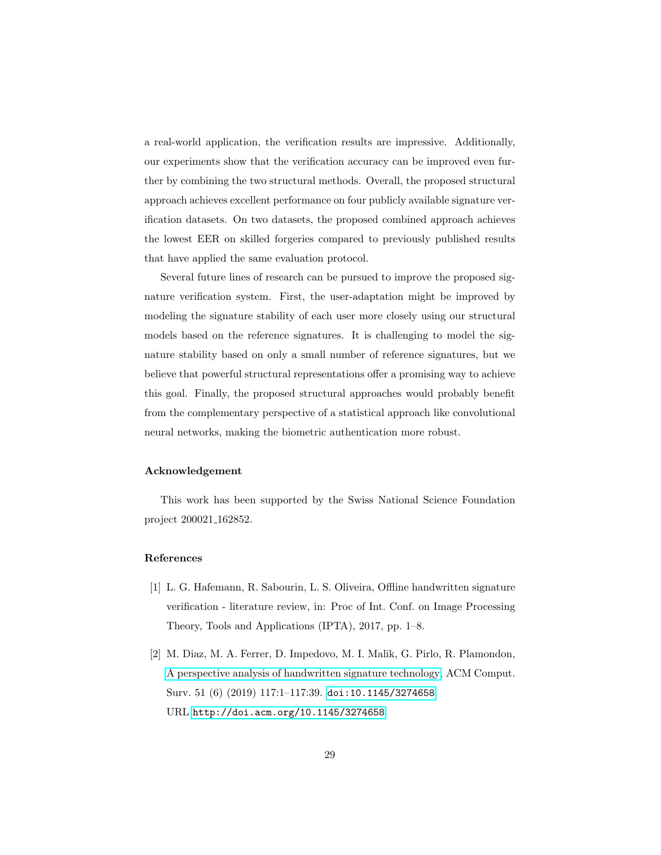a real-world application, the verification results are impressive. Additionally, our experiments show that the verification accuracy can be improved even further by combining the two structural methods. Overall, the proposed structural approach achieves excellent performance on four publicly available signature verification datasets. On two datasets, the proposed combined approach achieves the lowest EER on skilled forgeries compared to previously published results that have applied the same evaluation protocol.

Several future lines of research can be pursued to improve the proposed signature verification system. First, the user-adaptation might be improved by modeling the signature stability of each user more closely using our structural models based on the reference signatures. It is challenging to model the signature stability based on only a small number of reference signatures, but we believe that powerful structural representations offer a promising way to achieve this goal. Finally, the proposed structural approaches would probably benefit from the complementary perspective of a statistical approach like convolutional neural networks, making the biometric authentication more robust.

#### Acknowledgement

This work has been supported by the Swiss National Science Foundation project 200021 162852.

#### References

- <span id="page-29-0"></span>[1] L. G. Hafemann, R. Sabourin, L. S. Oliveira, Offline handwritten signature verification - literature review, in: Proc of Int. Conf. on Image Processing Theory, Tools and Applications (IPTA), 2017, pp. 1–8.
- <span id="page-29-1"></span>[2] M. Diaz, M. A. Ferrer, D. Impedovo, M. I. Malik, G. Pirlo, R. Plamondon, [A perspective analysis of handwritten signature technology,](http://doi.acm.org/10.1145/3274658) ACM Comput. Surv. 51 (6) (2019) 117:1–117:39. [doi:10.1145/3274658](https://doi.org/10.1145/3274658). URL <http://doi.acm.org/10.1145/3274658>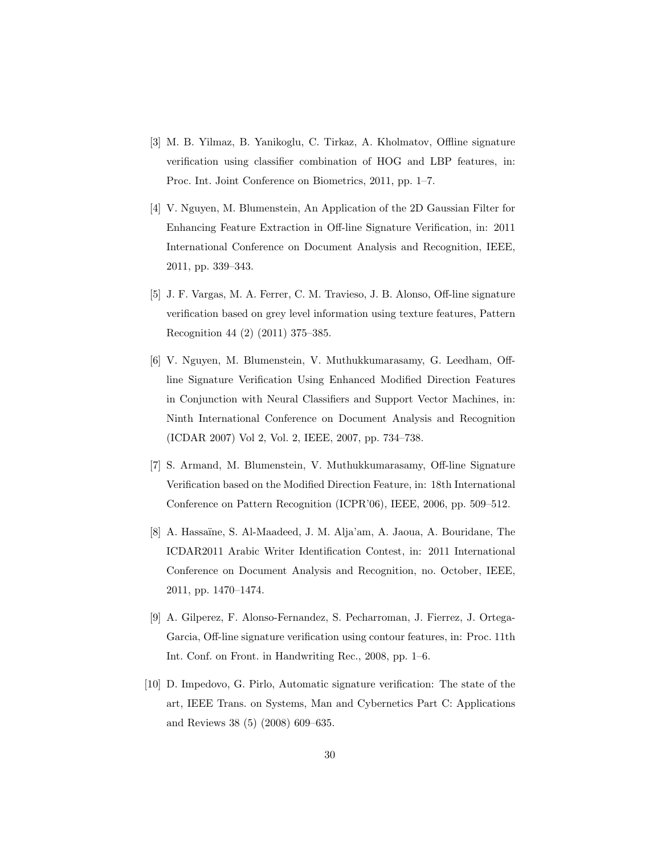- <span id="page-30-0"></span>[3] M. B. Yilmaz, B. Yanikoglu, C. Tirkaz, A. Kholmatov, Offline signature verification using classifier combination of HOG and LBP features, in: Proc. Int. Joint Conference on Biometrics, 2011, pp. 1–7.
- <span id="page-30-1"></span>[4] V. Nguyen, M. Blumenstein, An Application of the 2D Gaussian Filter for Enhancing Feature Extraction in Off-line Signature Verification, in: 2011 International Conference on Document Analysis and Recognition, IEEE, 2011, pp. 339–343.
- <span id="page-30-2"></span>[5] J. F. Vargas, M. A. Ferrer, C. M. Travieso, J. B. Alonso, Off-line signature verification based on grey level information using texture features, Pattern Recognition 44 (2) (2011) 375–385.
- <span id="page-30-3"></span>[6] V. Nguyen, M. Blumenstein, V. Muthukkumarasamy, G. Leedham, Offline Signature Verification Using Enhanced Modified Direction Features in Conjunction with Neural Classifiers and Support Vector Machines, in: Ninth International Conference on Document Analysis and Recognition (ICDAR 2007) Vol 2, Vol. 2, IEEE, 2007, pp. 734–738.
- <span id="page-30-4"></span>[7] S. Armand, M. Blumenstein, V. Muthukkumarasamy, Off-line Signature Verification based on the Modified Direction Feature, in: 18th International Conference on Pattern Recognition (ICPR'06), IEEE, 2006, pp. 509–512.
- <span id="page-30-5"></span>[8] A. Hassa¨ıne, S. Al-Maadeed, J. M. Alja'am, A. Jaoua, A. Bouridane, The ICDAR2011 Arabic Writer Identification Contest, in: 2011 International Conference on Document Analysis and Recognition, no. October, IEEE, 2011, pp. 1470–1474.
- <span id="page-30-6"></span>[9] A. Gilperez, F. Alonso-Fernandez, S. Pecharroman, J. Fierrez, J. Ortega-Garcia, Off-line signature verification using contour features, in: Proc. 11th Int. Conf. on Front. in Handwriting Rec., 2008, pp. 1–6.
- <span id="page-30-7"></span>[10] D. Impedovo, G. Pirlo, Automatic signature verification: The state of the art, IEEE Trans. on Systems, Man and Cybernetics Part C: Applications and Reviews 38 (5) (2008) 609–635.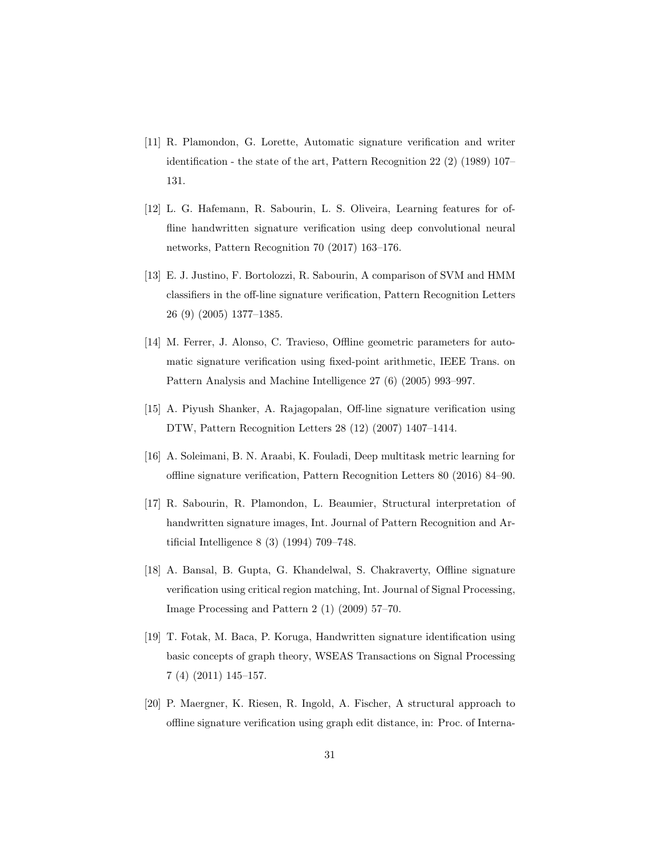- <span id="page-31-0"></span>[11] R. Plamondon, G. Lorette, Automatic signature verification and writer identification - the state of the art, Pattern Recognition 22 (2) (1989) 107– 131.
- <span id="page-31-1"></span>[12] L. G. Hafemann, R. Sabourin, L. S. Oliveira, Learning features for offline handwritten signature verification using deep convolutional neural networks, Pattern Recognition 70 (2017) 163–176.
- <span id="page-31-2"></span>[13] E. J. Justino, F. Bortolozzi, R. Sabourin, A comparison of SVM and HMM classifiers in the off-line signature verification, Pattern Recognition Letters 26 (9) (2005) 1377–1385.
- <span id="page-31-3"></span>[14] M. Ferrer, J. Alonso, C. Travieso, Offline geometric parameters for automatic signature verification using fixed-point arithmetic, IEEE Trans. on Pattern Analysis and Machine Intelligence 27 (6) (2005) 993–997.
- <span id="page-31-4"></span>[15] A. Piyush Shanker, A. Rajagopalan, Off-line signature verification using DTW, Pattern Recognition Letters 28 (12) (2007) 1407–1414.
- <span id="page-31-5"></span>[16] A. Soleimani, B. N. Araabi, K. Fouladi, Deep multitask metric learning for offline signature verification, Pattern Recognition Letters 80 (2016) 84–90.
- <span id="page-31-6"></span>[17] R. Sabourin, R. Plamondon, L. Beaumier, Structural interpretation of handwritten signature images, Int. Journal of Pattern Recognition and Artificial Intelligence 8 (3) (1994) 709–748.
- <span id="page-31-7"></span>[18] A. Bansal, B. Gupta, G. Khandelwal, S. Chakraverty, Offline signature verification using critical region matching, Int. Journal of Signal Processing, Image Processing and Pattern 2 (1) (2009) 57–70.
- <span id="page-31-8"></span>[19] T. Fotak, M. Baca, P. Koruga, Handwritten signature identification using basic concepts of graph theory, WSEAS Transactions on Signal Processing 7 (4) (2011) 145–157.
- <span id="page-31-9"></span>[20] P. Maergner, K. Riesen, R. Ingold, A. Fischer, A structural approach to offline signature verification using graph edit distance, in: Proc. of Interna-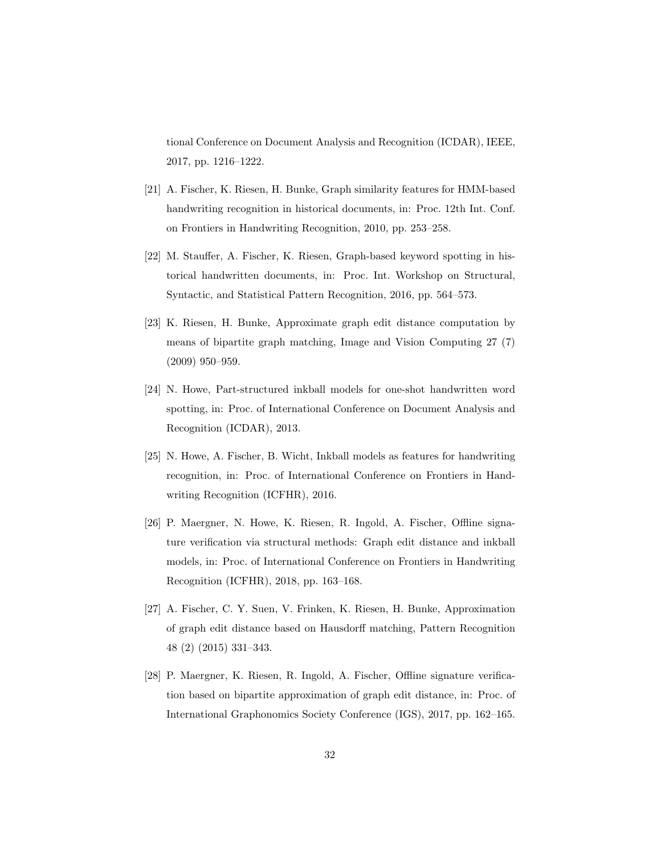tional Conference on Document Analysis and Recognition (ICDAR), IEEE, 2017, pp. 1216–1222.

- <span id="page-32-0"></span>[21] A. Fischer, K. Riesen, H. Bunke, Graph similarity features for HMM-based handwriting recognition in historical documents, in: Proc. 12th Int. Conf. on Frontiers in Handwriting Recognition, 2010, pp. 253–258.
- <span id="page-32-1"></span>[22] M. Stauffer, A. Fischer, K. Riesen, Graph-based keyword spotting in historical handwritten documents, in: Proc. Int. Workshop on Structural, Syntactic, and Statistical Pattern Recognition, 2016, pp. 564–573.
- <span id="page-32-2"></span>[23] K. Riesen, H. Bunke, Approximate graph edit distance computation by means of bipartite graph matching, Image and Vision Computing 27 (7) (2009) 950–959.
- <span id="page-32-3"></span>[24] N. Howe, Part-structured inkball models for one-shot handwritten word spotting, in: Proc. of International Conference on Document Analysis and Recognition (ICDAR), 2013.
- <span id="page-32-4"></span>[25] N. Howe, A. Fischer, B. Wicht, Inkball models as features for handwriting recognition, in: Proc. of International Conference on Frontiers in Handwriting Recognition (ICFHR), 2016.
- <span id="page-32-5"></span>[26] P. Maergner, N. Howe, K. Riesen, R. Ingold, A. Fischer, Offline signature verification via structural methods: Graph edit distance and inkball models, in: Proc. of International Conference on Frontiers in Handwriting Recognition (ICFHR), 2018, pp. 163–168.
- <span id="page-32-6"></span>[27] A. Fischer, C. Y. Suen, V. Frinken, K. Riesen, H. Bunke, Approximation of graph edit distance based on Hausdorff matching, Pattern Recognition 48 (2) (2015) 331–343.
- <span id="page-32-7"></span>[28] P. Maergner, K. Riesen, R. Ingold, A. Fischer, Offline signature verification based on bipartite approximation of graph edit distance, in: Proc. of International Graphonomics Society Conference (IGS), 2017, pp. 162–165.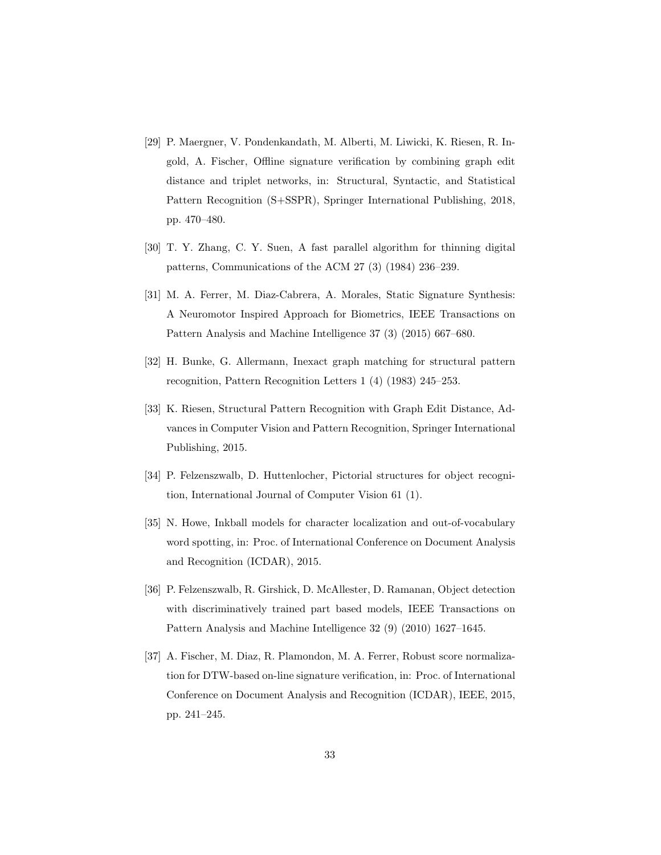- <span id="page-33-1"></span>[29] P. Maergner, V. Pondenkandath, M. Alberti, M. Liwicki, K. Riesen, R. Ingold, A. Fischer, Offline signature verification by combining graph edit distance and triplet networks, in: Structural, Syntactic, and Statistical Pattern Recognition (S+SSPR), Springer International Publishing, 2018, pp. 470–480.
- <span id="page-33-2"></span>[30] T. Y. Zhang, C. Y. Suen, A fast parallel algorithm for thinning digital patterns, Communications of the ACM 27 (3) (1984) 236–239.
- <span id="page-33-0"></span>[31] M. A. Ferrer, M. Diaz-Cabrera, A. Morales, Static Signature Synthesis: A Neuromotor Inspired Approach for Biometrics, IEEE Transactions on Pattern Analysis and Machine Intelligence 37 (3) (2015) 667–680.
- <span id="page-33-3"></span>[32] H. Bunke, G. Allermann, Inexact graph matching for structural pattern recognition, Pattern Recognition Letters 1 (4) (1983) 245–253.
- <span id="page-33-4"></span>[33] K. Riesen, Structural Pattern Recognition with Graph Edit Distance, Advances in Computer Vision and Pattern Recognition, Springer International Publishing, 2015.
- <span id="page-33-5"></span>[34] P. Felzenszwalb, D. Huttenlocher, Pictorial structures for object recognition, International Journal of Computer Vision 61 (1).
- <span id="page-33-6"></span>[35] N. Howe, Inkball models for character localization and out-of-vocabulary word spotting, in: Proc. of International Conference on Document Analysis and Recognition (ICDAR), 2015.
- <span id="page-33-7"></span>[36] P. Felzenszwalb, R. Girshick, D. McAllester, D. Ramanan, Object detection with discriminatively trained part based models, IEEE Transactions on Pattern Analysis and Machine Intelligence 32 (9) (2010) 1627–1645.
- <span id="page-33-8"></span>[37] A. Fischer, M. Diaz, R. Plamondon, M. A. Ferrer, Robust score normalization for DTW-based on-line signature verification, in: Proc. of International Conference on Document Analysis and Recognition (ICDAR), IEEE, 2015, pp. 241–245.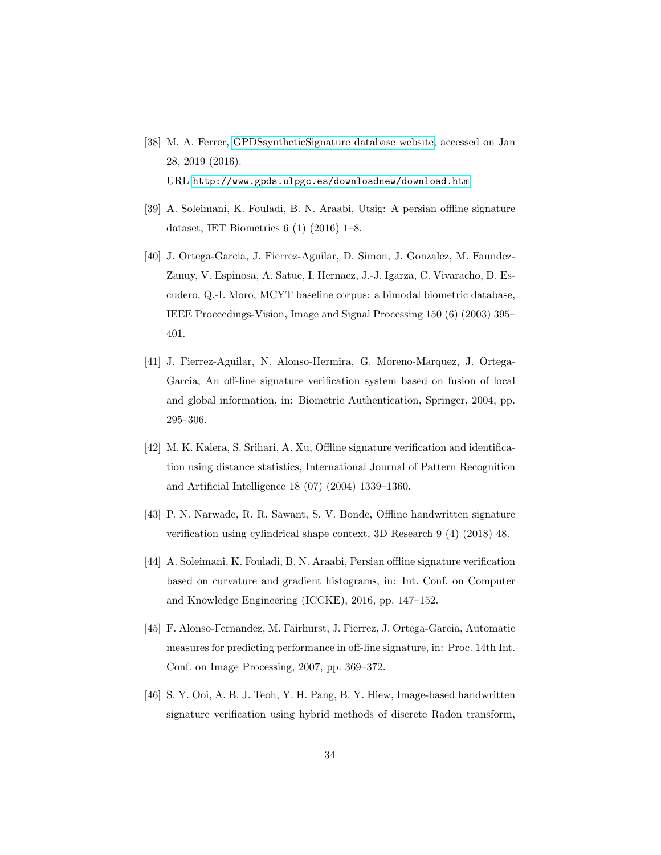- <span id="page-34-0"></span>[38] M. A. Ferrer, [GPDSsyntheticSignature database website,](http://www.gpds.ulpgc.es/downloadnew/download.htm) accessed on Jan 28, 2019 (2016). URL <http://www.gpds.ulpgc.es/downloadnew/download.htm>
- <span id="page-34-1"></span>[39] A. Soleimani, K. Fouladi, B. N. Araabi, Utsig: A persian offline signature dataset, IET Biometrics 6 (1) (2016) 1–8.
- <span id="page-34-2"></span>[40] J. Ortega-Garcia, J. Fierrez-Aguilar, D. Simon, J. Gonzalez, M. Faundez-Zanuy, V. Espinosa, A. Satue, I. Hernaez, J.-J. Igarza, C. Vivaracho, D. Escudero, Q.-I. Moro, MCYT baseline corpus: a bimodal biometric database, IEEE Proceedings-Vision, Image and Signal Processing 150 (6) (2003) 395– 401.
- <span id="page-34-3"></span>[41] J. Fierrez-Aguilar, N. Alonso-Hermira, G. Moreno-Marquez, J. Ortega-Garcia, An off-line signature verification system based on fusion of local and global information, in: Biometric Authentication, Springer, 2004, pp. 295–306.
- <span id="page-34-4"></span>[42] M. K. Kalera, S. Srihari, A. Xu, Offline signature verification and identification using distance statistics, International Journal of Pattern Recognition and Artificial Intelligence 18 (07) (2004) 1339–1360.
- <span id="page-34-5"></span>[43] P. N. Narwade, R. R. Sawant, S. V. Bonde, Offline handwritten signature verification using cylindrical shape context, 3D Research 9 (4) (2018) 48.
- <span id="page-34-6"></span>[44] A. Soleimani, K. Fouladi, B. N. Araabi, Persian offline signature verification based on curvature and gradient histograms, in: Int. Conf. on Computer and Knowledge Engineering (ICCKE), 2016, pp. 147–152.
- <span id="page-34-7"></span>[45] F. Alonso-Fernandez, M. Fairhurst, J. Fierrez, J. Ortega-Garcia, Automatic measures for predicting performance in off-line signature, in: Proc. 14th Int. Conf. on Image Processing, 2007, pp. 369–372.
- <span id="page-34-8"></span>[46] S. Y. Ooi, A. B. J. Teoh, Y. H. Pang, B. Y. Hiew, Image-based handwritten signature verification using hybrid methods of discrete Radon transform,